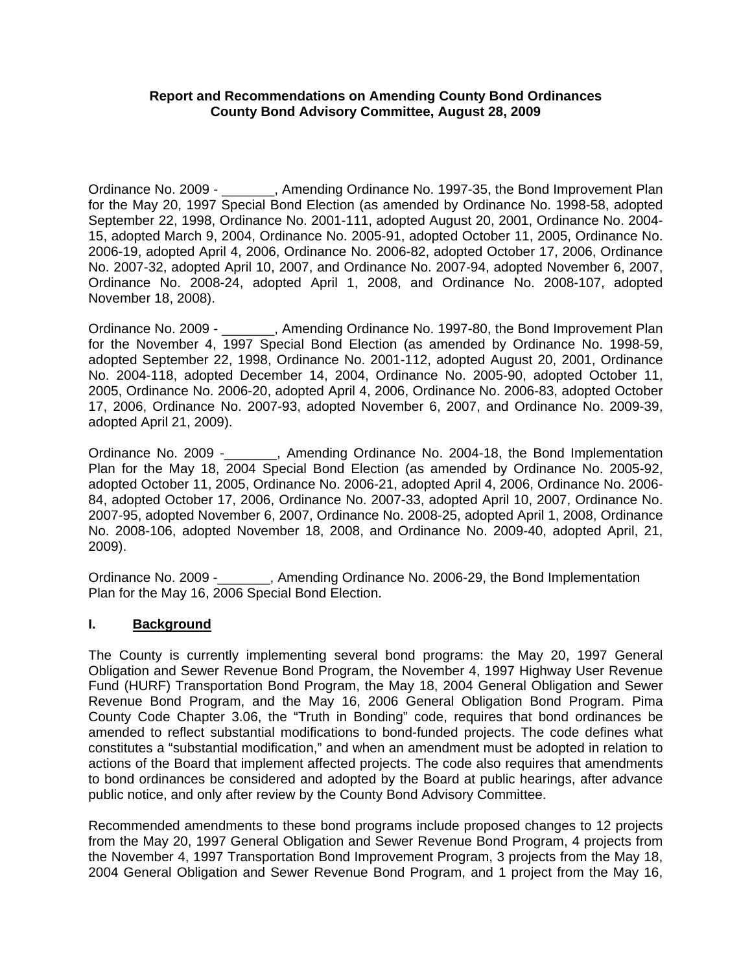## **Report and Recommendations on Amending County Bond Ordinances County Bond Advisory Committee, August 28, 2009**

Ordinance No. 2009 - \_\_\_\_\_\_\_, Amending Ordinance No. 1997-35, the Bond Improvement Plan for the May 20, 1997 Special Bond Election (as amended by Ordinance No. 1998-58, adopted September 22, 1998, Ordinance No. 2001-111, adopted August 20, 2001, Ordinance No. 2004- 15, adopted March 9, 2004, Ordinance No. 2005-91, adopted October 11, 2005, Ordinance No. 2006-19, adopted April 4, 2006, Ordinance No. 2006-82, adopted October 17, 2006, Ordinance No. 2007-32, adopted April 10, 2007, and Ordinance No. 2007-94, adopted November 6, 2007, Ordinance No. 2008-24, adopted April 1, 2008, and Ordinance No. 2008-107, adopted November 18, 2008).

Ordinance No. 2009 - \_\_\_\_\_\_\_, Amending Ordinance No. 1997-80, the Bond Improvement Plan for the November 4, 1997 Special Bond Election (as amended by Ordinance No. 1998-59, adopted September 22, 1998, Ordinance No. 2001-112, adopted August 20, 2001, Ordinance No. 2004-118, adopted December 14, 2004, Ordinance No. 2005-90, adopted October 11, 2005, Ordinance No. 2006-20, adopted April 4, 2006, Ordinance No. 2006-83, adopted October 17, 2006, Ordinance No. 2007-93, adopted November 6, 2007, and Ordinance No. 2009-39, adopted April 21, 2009).

Ordinance No. 2009 -\_\_\_\_\_\_\_, Amending Ordinance No. 2004-18, the Bond Implementation Plan for the May 18, 2004 Special Bond Election (as amended by Ordinance No. 2005-92, adopted October 11, 2005, Ordinance No. 2006-21, adopted April 4, 2006, Ordinance No. 2006- 84, adopted October 17, 2006, Ordinance No. 2007-33, adopted April 10, 2007, Ordinance No. 2007-95, adopted November 6, 2007, Ordinance No. 2008-25, adopted April 1, 2008, Ordinance No. 2008-106, adopted November 18, 2008, and Ordinance No. 2009-40, adopted April, 21, 2009).

Ordinance No. 2009 -\_\_\_\_\_\_\_, Amending Ordinance No. 2006-29, the Bond Implementation Plan for the May 16, 2006 Special Bond Election.

# **I. Background**

The County is currently implementing several bond programs: the May 20, 1997 General Obligation and Sewer Revenue Bond Program, the November 4, 1997 Highway User Revenue Fund (HURF) Transportation Bond Program, the May 18, 2004 General Obligation and Sewer Revenue Bond Program, and the May 16, 2006 General Obligation Bond Program. Pima County Code Chapter 3.06, the "Truth in Bonding" code, requires that bond ordinances be amended to reflect substantial modifications to bond-funded projects. The code defines what constitutes a "substantial modification," and when an amendment must be adopted in relation to actions of the Board that implement affected projects. The code also requires that amendments to bond ordinances be considered and adopted by the Board at public hearings, after advance public notice, and only after review by the County Bond Advisory Committee.

Recommended amendments to these bond programs include proposed changes to 12 projects from the May 20, 1997 General Obligation and Sewer Revenue Bond Program, 4 projects from the November 4, 1997 Transportation Bond Improvement Program, 3 projects from the May 18, 2004 General Obligation and Sewer Revenue Bond Program, and 1 project from the May 16,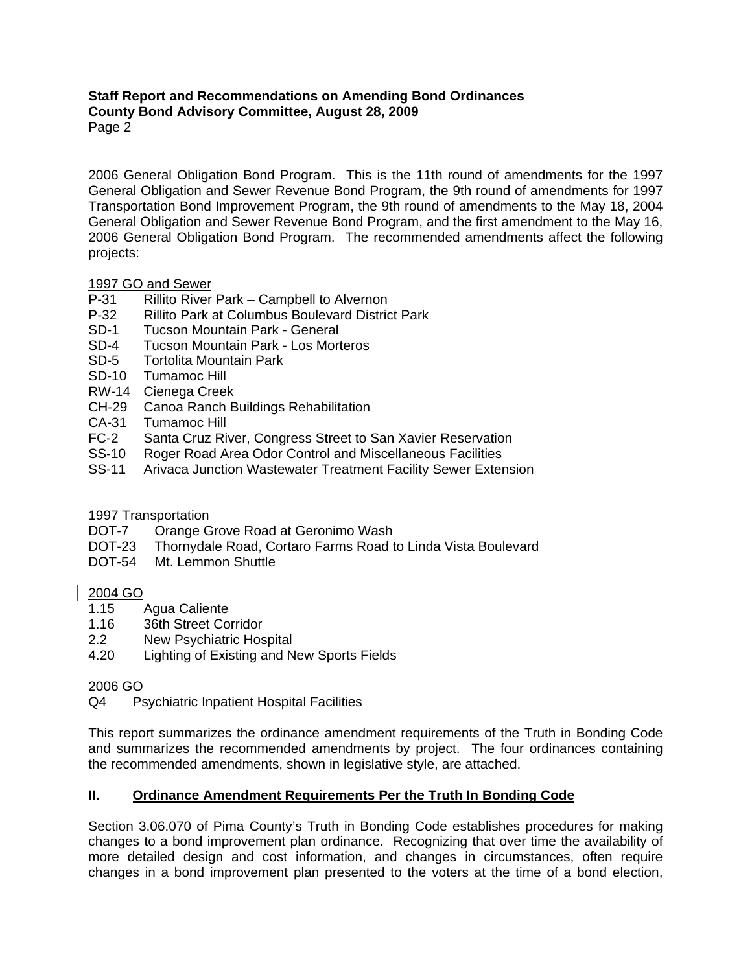2006 General Obligation Bond Program. This is the 11th round of amendments for the 1997 General Obligation and Sewer Revenue Bond Program, the 9th round of amendments for 1997 Transportation Bond Improvement Program, the 9th round of amendments to the May 18, 2004 General Obligation and Sewer Revenue Bond Program, and the first amendment to the May 16, 2006 General Obligation Bond Program. The recommended amendments affect the following projects:

# 1997 GO and Sewer<br>P-31 Rillito River

- Rillito River Park Campbell to Alvernon
- P-32 Rillito Park at Columbus Boulevard District Park<br>SD-1 Tucson Mountain Park General
- **Tucson Mountain Park General**
- SD-4 Tucson Mountain Park Los Morteros
- SD-5 Tortolita Mountain Park
- SD-10 Tumamoc Hill
- RW-14 Cienega Creek
- CH-29 Canoa Ranch Buildings Rehabilitation
- CA-31 Tumamoc Hill
- FC-2 Santa Cruz River, Congress Street to San Xavier Reservation
- SS-10 Roger Road Area Odor Control and Miscellaneous Facilities
- SS-11 Arivaca Junction Wastewater Treatment Facility Sewer Extension

# 1997 Transportation

- DOT-7 Orange Grove Road at Geronimo Wash
- DOT-23 Thornydale Road, Cortaro Farms Road to Linda Vista Boulevard
- DOT-54 Mt. Lemmon Shuttle

# 2004 GO

- 1.15 Agua Caliente
- 1.16 36th Street Corridor
- 2.2 New Psychiatric Hospital
- 4.20 Lighting of Existing and New Sports Fields

# 2006 GO

Q4 Psychiatric Inpatient Hospital Facilities

This report summarizes the ordinance amendment requirements of the Truth in Bonding Code and summarizes the recommended amendments by project. The four ordinances containing the recommended amendments, shown in legislative style, are attached.

# **II. Ordinance Amendment Requirements Per the Truth In Bonding Code**

Section 3.06.070 of Pima County's Truth in Bonding Code establishes procedures for making changes to a bond improvement plan ordinance. Recognizing that over time the availability of more detailed design and cost information, and changes in circumstances, often require changes in a bond improvement plan presented to the voters at the time of a bond election,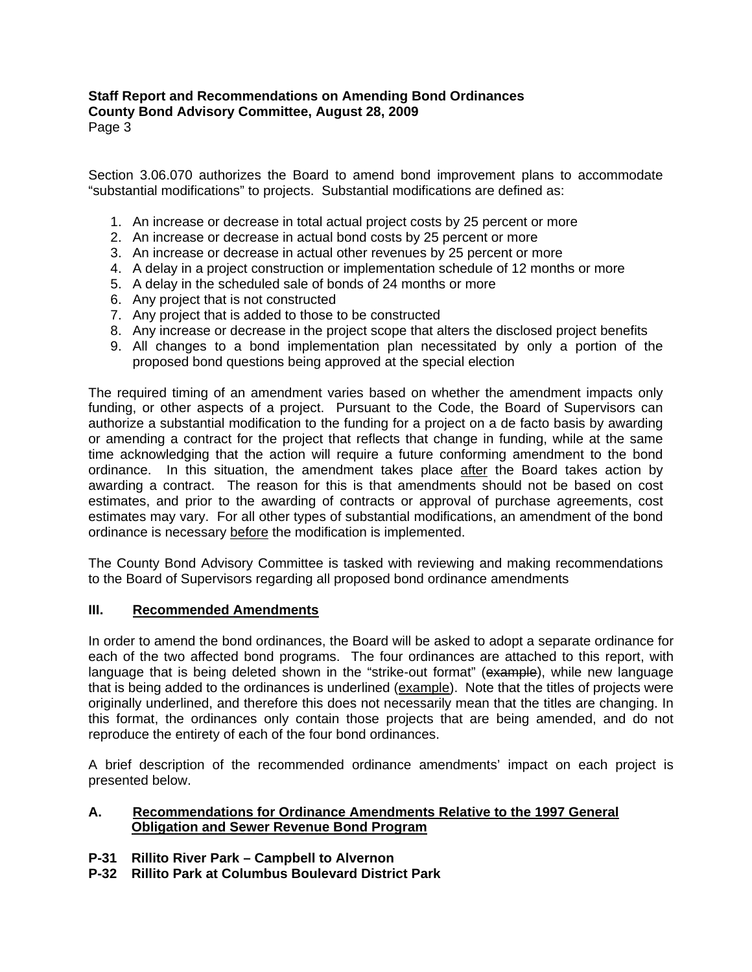Section 3.06.070 authorizes the Board to amend bond improvement plans to accommodate "substantial modifications" to projects. Substantial modifications are defined as:

- 1. An increase or decrease in total actual project costs by 25 percent or more
- 2. An increase or decrease in actual bond costs by 25 percent or more
- 3. An increase or decrease in actual other revenues by 25 percent or more
- 4. A delay in a project construction or implementation schedule of 12 months or more
- 5. A delay in the scheduled sale of bonds of 24 months or more
- 6. Any project that is not constructed
- 7. Any project that is added to those to be constructed
- 8. Any increase or decrease in the project scope that alters the disclosed project benefits
- 9. All changes to a bond implementation plan necessitated by only a portion of the proposed bond questions being approved at the special election

The required timing of an amendment varies based on whether the amendment impacts only funding, or other aspects of a project. Pursuant to the Code, the Board of Supervisors can authorize a substantial modification to the funding for a project on a de facto basis by awarding or amending a contract for the project that reflects that change in funding, while at the same time acknowledging that the action will require a future conforming amendment to the bond ordinance. In this situation, the amendment takes place after the Board takes action by awarding a contract. The reason for this is that amendments should not be based on cost estimates, and prior to the awarding of contracts or approval of purchase agreements, cost estimates may vary. For all other types of substantial modifications, an amendment of the bond ordinance is necessary before the modification is implemented.

The County Bond Advisory Committee is tasked with reviewing and making recommendations to the Board of Supervisors regarding all proposed bond ordinance amendments

#### **III. Recommended Amendments**

In order to amend the bond ordinances, the Board will be asked to adopt a separate ordinance for each of the two affected bond programs. The four ordinances are attached to this report, with language that is being deleted shown in the "strike-out format" (example), while new language that is being added to the ordinances is underlined (example). Note that the titles of projects were originally underlined, and therefore this does not necessarily mean that the titles are changing. In this format, the ordinances only contain those projects that are being amended, and do not reproduce the entirety of each of the four bond ordinances.

A brief description of the recommended ordinance amendments' impact on each project is presented below.

## **A. Recommendations for Ordinance Amendments Relative to the 1997 General Obligation and Sewer Revenue Bond Program**

- **P-31 Rillito River Park Campbell to Alvernon**
- **P-32 Rillito Park at Columbus Boulevard District Park**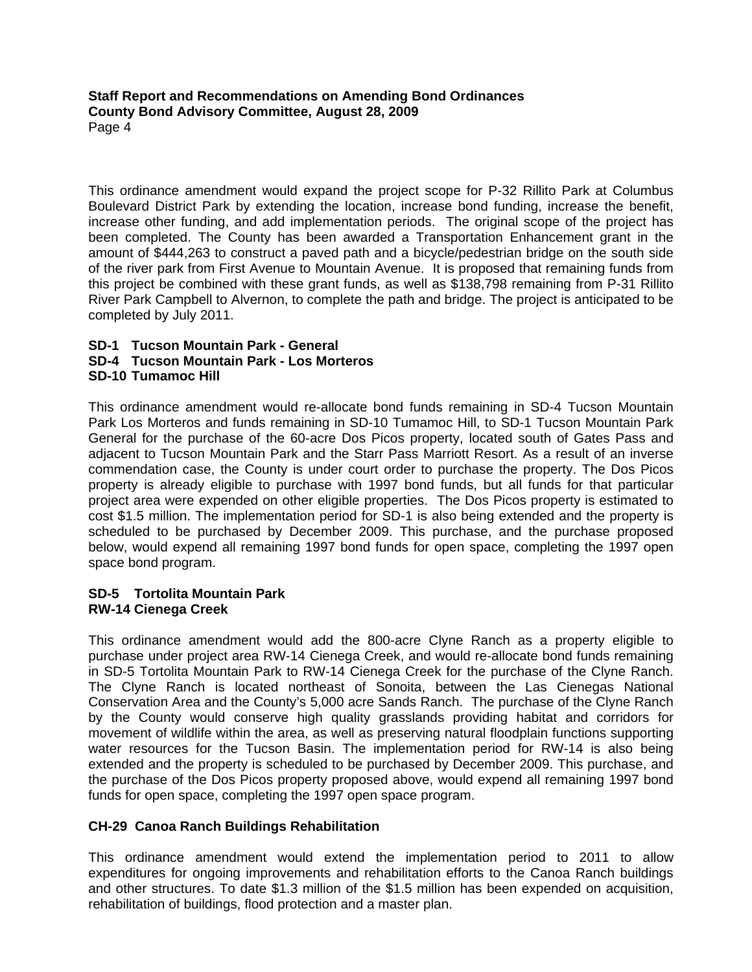This ordinance amendment would expand the project scope for P-32 Rillito Park at Columbus Boulevard District Park by extending the location, increase bond funding, increase the benefit, increase other funding, and add implementation periods. The original scope of the project has been completed. The County has been awarded a Transportation Enhancement grant in the amount of \$444,263 to construct a paved path and a bicycle/pedestrian bridge on the south side of the river park from First Avenue to Mountain Avenue. It is proposed that remaining funds from this project be combined with these grant funds, as well as \$138,798 remaining from P-31 Rillito River Park Campbell to Alvernon, to complete the path and bridge. The project is anticipated to be completed by July 2011.

#### **SD-1 Tucson Mountain Park - General SD-4 Tucson Mountain Park - Los Morteros SD-10 Tumamoc Hill**

This ordinance amendment would re-allocate bond funds remaining in SD-4 Tucson Mountain Park Los Morteros and funds remaining in SD-10 Tumamoc Hill, to SD-1 Tucson Mountain Park General for the purchase of the 60-acre Dos Picos property, located south of Gates Pass and adjacent to Tucson Mountain Park and the Starr Pass Marriott Resort. As a result of an inverse commendation case, the County is under court order to purchase the property. The Dos Picos property is already eligible to purchase with 1997 bond funds, but all funds for that particular project area were expended on other eligible properties. The Dos Picos property is estimated to cost \$1.5 million. The implementation period for SD-1 is also being extended and the property is scheduled to be purchased by December 2009. This purchase, and the purchase proposed below, would expend all remaining 1997 bond funds for open space, completing the 1997 open space bond program.

## **SD-5 Tortolita Mountain Park RW-14 Cienega Creek**

This ordinance amendment would add the 800-acre Clyne Ranch as a property eligible to purchase under project area RW-14 Cienega Creek, and would re-allocate bond funds remaining in SD-5 Tortolita Mountain Park to RW-14 Cienega Creek for the purchase of the Clyne Ranch. The Clyne Ranch is located northeast of Sonoita, between the Las Cienegas National Conservation Area and the County's 5,000 acre Sands Ranch. The purchase of the Clyne Ranch by the County would conserve high quality grasslands providing habitat and corridors for movement of wildlife within the area, as well as preserving natural floodplain functions supporting water resources for the Tucson Basin. The implementation period for RW-14 is also being extended and the property is scheduled to be purchased by December 2009. This purchase, and the purchase of the Dos Picos property proposed above, would expend all remaining 1997 bond funds for open space, completing the 1997 open space program.

# **CH-29 Canoa Ranch Buildings Rehabilitation**

This ordinance amendment would extend the implementation period to 2011 to allow expenditures for ongoing improvements and rehabilitation efforts to the Canoa Ranch buildings and other structures. To date \$1.3 million of the \$1.5 million has been expended on acquisition, rehabilitation of buildings, flood protection and a master plan.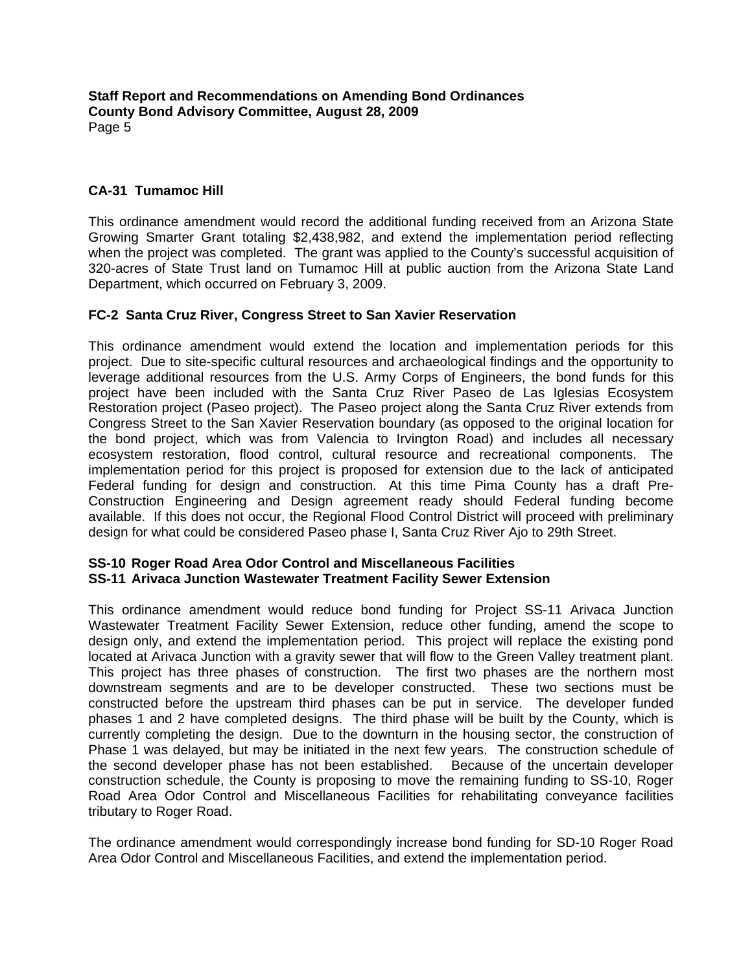# **CA-31 Tumamoc Hill**

This ordinance amendment would record the additional funding received from an Arizona State Growing Smarter Grant totaling \$2,438,982, and extend the implementation period reflecting when the project was completed. The grant was applied to the County's successful acquisition of 320-acres of State Trust land on Tumamoc Hill at public auction from the Arizona State Land Department, which occurred on February 3, 2009.

## **FC-2 Santa Cruz River, Congress Street to San Xavier Reservation**

This ordinance amendment would extend the location and implementation periods for this project. Due to site-specific cultural resources and archaeological findings and the opportunity to leverage additional resources from the U.S. Army Corps of Engineers, the bond funds for this project have been included with the Santa Cruz River Paseo de Las Iglesias Ecosystem Restoration project (Paseo project). The Paseo project along the Santa Cruz River extends from Congress Street to the San Xavier Reservation boundary (as opposed to the original location for the bond project, which was from Valencia to Irvington Road) and includes all necessary ecosystem restoration, flood control, cultural resource and recreational components. The implementation period for this project is proposed for extension due to the lack of anticipated Federal funding for design and construction. At this time Pima County has a draft Pre-Construction Engineering and Design agreement ready should Federal funding become available. If this does not occur, the Regional Flood Control District will proceed with preliminary design for what could be considered Paseo phase I, Santa Cruz River Ajo to 29th Street.

#### **SS-10 Roger Road Area Odor Control and Miscellaneous Facilities SS-11 Arivaca Junction Wastewater Treatment Facility Sewer Extension**

This ordinance amendment would reduce bond funding for Project SS-11 Arivaca Junction Wastewater Treatment Facility Sewer Extension, reduce other funding, amend the scope to design only, and extend the implementation period. This project will replace the existing pond located at Arivaca Junction with a gravity sewer that will flow to the Green Valley treatment plant. This project has three phases of construction. The first two phases are the northern most downstream segments and are to be developer constructed. These two sections must be constructed before the upstream third phases can be put in service. The developer funded phases 1 and 2 have completed designs. The third phase will be built by the County, which is currently completing the design. Due to the downturn in the housing sector, the construction of Phase 1 was delayed, but may be initiated in the next few years. The construction schedule of the second developer phase has not been established. Because of the uncertain developer construction schedule, the County is proposing to move the remaining funding to SS-10, Roger Road Area Odor Control and Miscellaneous Facilities for rehabilitating conveyance facilities tributary to Roger Road.

The ordinance amendment would correspondingly increase bond funding for SD-10 Roger Road Area Odor Control and Miscellaneous Facilities, and extend the implementation period.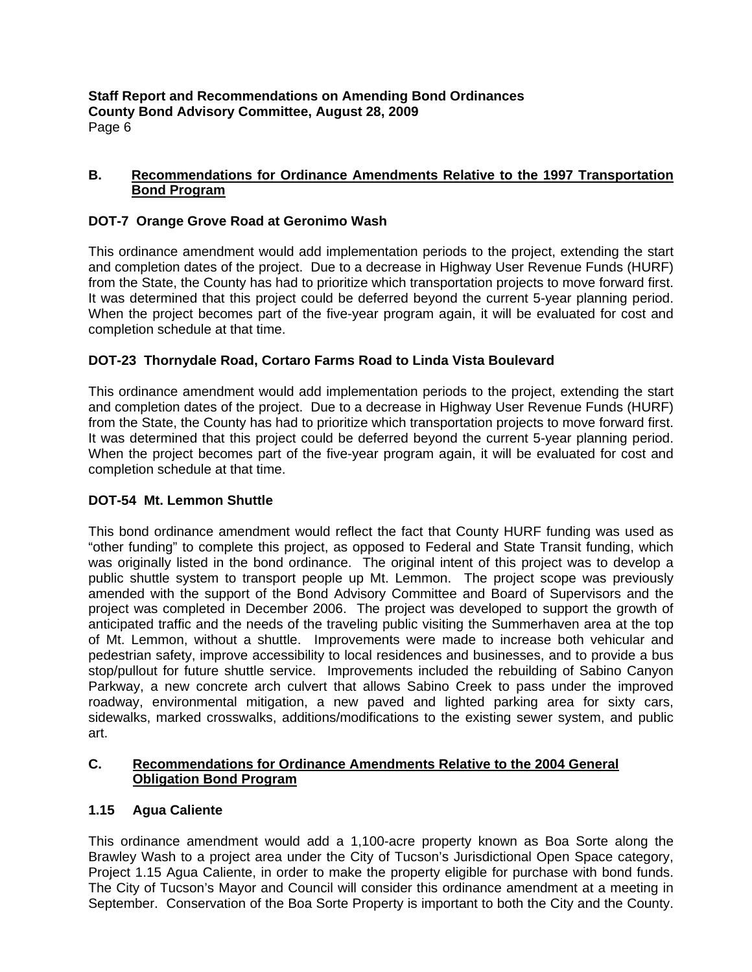## **B. Recommendations for Ordinance Amendments Relative to the 1997 Transportation Bond Program**

# **DOT-7 Orange Grove Road at Geronimo Wash**

This ordinance amendment would add implementation periods to the project, extending the start and completion dates of the project. Due to a decrease in Highway User Revenue Funds (HURF) from the State, the County has had to prioritize which transportation projects to move forward first. It was determined that this project could be deferred beyond the current 5-year planning period. When the project becomes part of the five-year program again, it will be evaluated for cost and completion schedule at that time.

# **DOT-23 Thornydale Road, Cortaro Farms Road to Linda Vista Boulevard**

This ordinance amendment would add implementation periods to the project, extending the start and completion dates of the project. Due to a decrease in Highway User Revenue Funds (HURF) from the State, the County has had to prioritize which transportation projects to move forward first. It was determined that this project could be deferred beyond the current 5-year planning period. When the project becomes part of the five-year program again, it will be evaluated for cost and completion schedule at that time.

# **DOT-54 Mt. Lemmon Shuttle**

This bond ordinance amendment would reflect the fact that County HURF funding was used as "other funding" to complete this project, as opposed to Federal and State Transit funding, which was originally listed in the bond ordinance. The original intent of this project was to develop a public shuttle system to transport people up Mt. Lemmon. The project scope was previously amended with the support of the Bond Advisory Committee and Board of Supervisors and the project was completed in December 2006. The project was developed to support the growth of anticipated traffic and the needs of the traveling public visiting the Summerhaven area at the top of Mt. Lemmon, without a shuttle. Improvements were made to increase both vehicular and pedestrian safety, improve accessibility to local residences and businesses, and to provide a bus stop/pullout for future shuttle service. Improvements included the rebuilding of Sabino Canyon Parkway, a new concrete arch culvert that allows Sabino Creek to pass under the improved roadway, environmental mitigation, a new paved and lighted parking area for sixty cars, sidewalks, marked crosswalks, additions/modifications to the existing sewer system, and public art.

# **C. Recommendations for Ordinance Amendments Relative to the 2004 General Obligation Bond Program**

# **1.15 Agua Caliente**

This ordinance amendment would add a 1,100-acre property known as Boa Sorte along the Brawley Wash to a project area under the City of Tucson's Jurisdictional Open Space category, Project 1.15 Agua Caliente, in order to make the property eligible for purchase with bond funds. The City of Tucson's Mayor and Council will consider this ordinance amendment at a meeting in September. Conservation of the Boa Sorte Property is important to both the City and the County.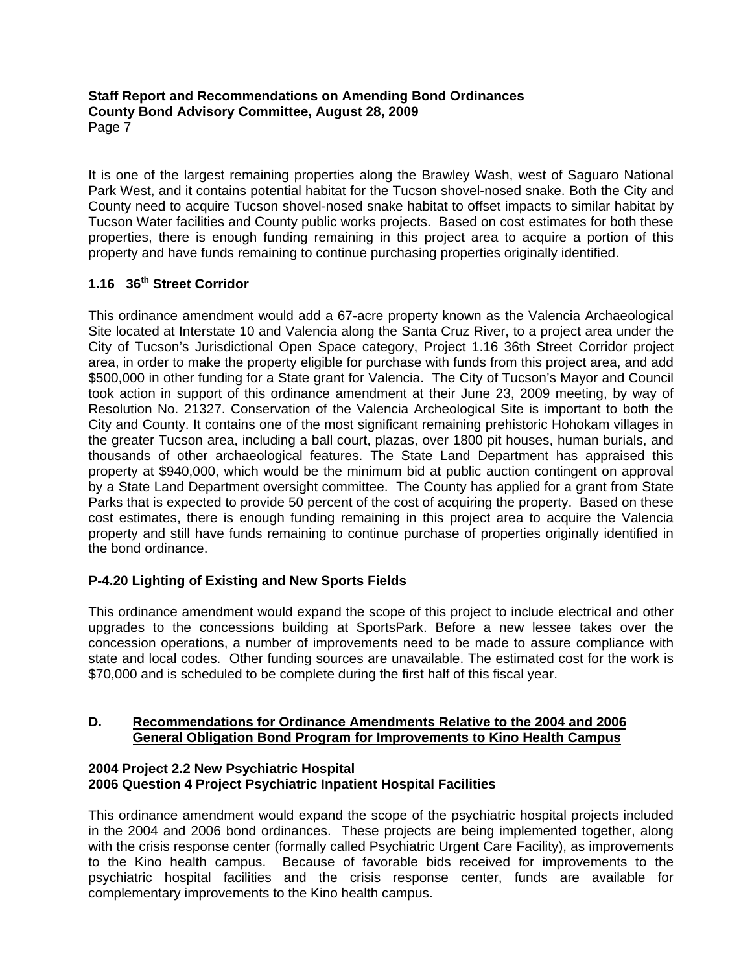It is one of the largest remaining properties along the Brawley Wash, west of Saguaro National Park West, and it contains potential habitat for the Tucson shovel-nosed snake. Both the City and County need to acquire Tucson shovel-nosed snake habitat to offset impacts to similar habitat by Tucson Water facilities and County public works projects. Based on cost estimates for both these properties, there is enough funding remaining in this project area to acquire a portion of this property and have funds remaining to continue purchasing properties originally identified.

# **1.16 36th Street Corridor**

This ordinance amendment would add a 67-acre property known as the Valencia Archaeological Site located at Interstate 10 and Valencia along the Santa Cruz River, to a project area under the City of Tucson's Jurisdictional Open Space category, Project 1.16 36th Street Corridor project area, in order to make the property eligible for purchase with funds from this project area, and add \$500,000 in other funding for a State grant for Valencia. The City of Tucson's Mayor and Council took action in support of this ordinance amendment at their June 23, 2009 meeting, by way of Resolution No. 21327. Conservation of the Valencia Archeological Site is important to both the City and County. It contains one of the most significant remaining prehistoric Hohokam villages in the greater Tucson area, including a ball court, plazas, over 1800 pit houses, human burials, and thousands of other archaeological features. The State Land Department has appraised this property at \$940,000, which would be the minimum bid at public auction contingent on approval by a State Land Department oversight committee. The County has applied for a grant from State Parks that is expected to provide 50 percent of the cost of acquiring the property. Based on these cost estimates, there is enough funding remaining in this project area to acquire the Valencia property and still have funds remaining to continue purchase of properties originally identified in the bond ordinance.

# **P-4.20 Lighting of Existing and New Sports Fields**

This ordinance amendment would expand the scope of this project to include electrical and other upgrades to the concessions building at SportsPark. Before a new lessee takes over the concession operations, a number of improvements need to be made to assure compliance with state and local codes. Other funding sources are unavailable. The estimated cost for the work is \$70,000 and is scheduled to be complete during the first half of this fiscal year.

# **D. Recommendations for Ordinance Amendments Relative to the 2004 and 2006 General Obligation Bond Program for Improvements to Kino Health Campus**

## **2004 Project 2.2 New Psychiatric Hospital 2006 Question 4 Project Psychiatric Inpatient Hospital Facilities**

This ordinance amendment would expand the scope of the psychiatric hospital projects included in the 2004 and 2006 bond ordinances. These projects are being implemented together, along with the crisis response center (formally called Psychiatric Urgent Care Facility), as improvements to the Kino health campus. Because of favorable bids received for improvements to the psychiatric hospital facilities and the crisis response center, funds are available for complementary improvements to the Kino health campus.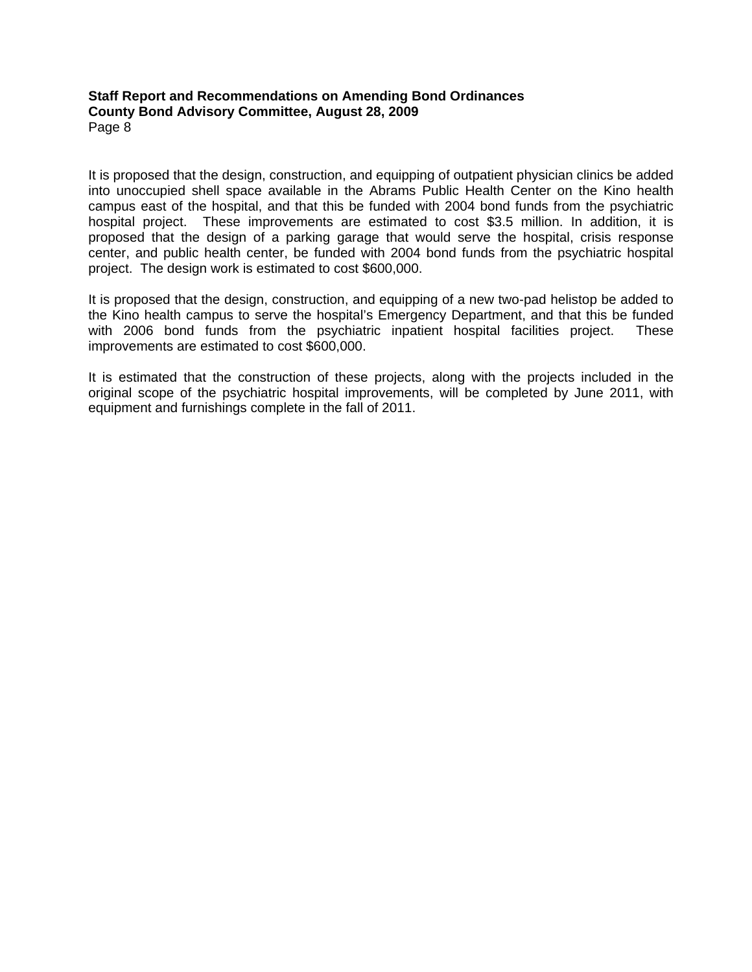It is proposed that the design, construction, and equipping of outpatient physician clinics be added into unoccupied shell space available in the Abrams Public Health Center on the Kino health campus east of the hospital, and that this be funded with 2004 bond funds from the psychiatric hospital project. These improvements are estimated to cost \$3.5 million. In addition, it is proposed that the design of a parking garage that would serve the hospital, crisis response center, and public health center, be funded with 2004 bond funds from the psychiatric hospital project. The design work is estimated to cost \$600,000.

It is proposed that the design, construction, and equipping of a new two-pad helistop be added to the Kino health campus to serve the hospital's Emergency Department, and that this be funded with 2006 bond funds from the psychiatric inpatient hospital facilities project. These improvements are estimated to cost \$600,000.

It is estimated that the construction of these projects, along with the projects included in the original scope of the psychiatric hospital improvements, will be completed by June 2011, with equipment and furnishings complete in the fall of 2011.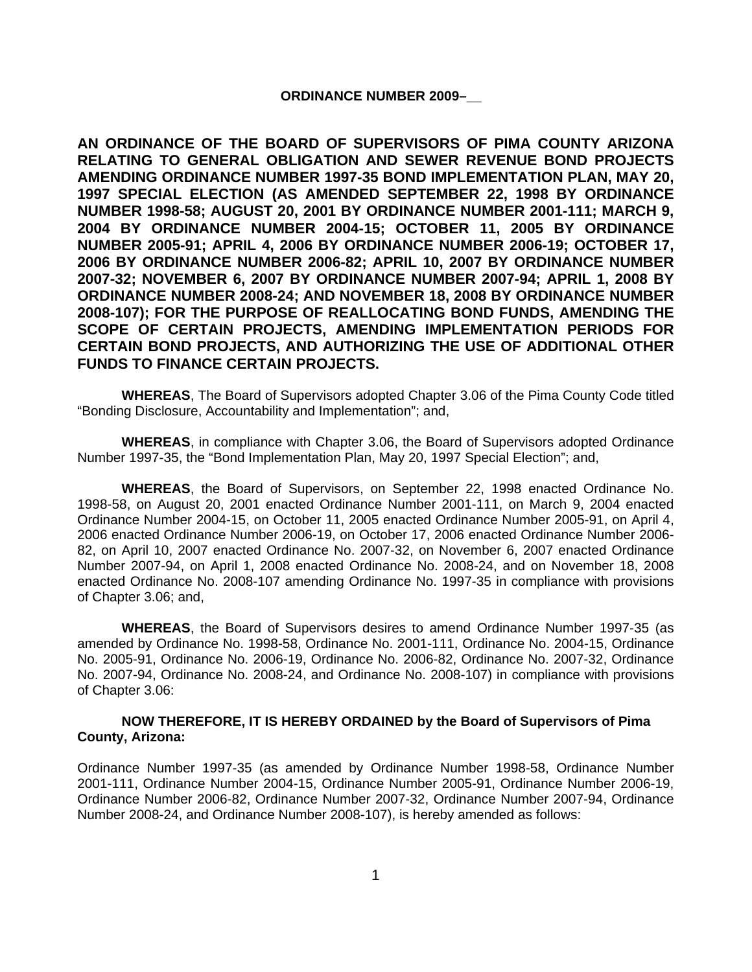#### **ORDINANCE NUMBER 2009–\_\_**

**AN ORDINANCE OF THE BOARD OF SUPERVISORS OF PIMA COUNTY ARIZONA RELATING TO GENERAL OBLIGATION AND SEWER REVENUE BOND PROJECTS AMENDING ORDINANCE NUMBER 1997-35 BOND IMPLEMENTATION PLAN, MAY 20, 1997 SPECIAL ELECTION (AS AMENDED SEPTEMBER 22, 1998 BY ORDINANCE NUMBER 1998-58; AUGUST 20, 2001 BY ORDINANCE NUMBER 2001-111; MARCH 9, 2004 BY ORDINANCE NUMBER 2004-15; OCTOBER 11, 2005 BY ORDINANCE NUMBER 2005-91; APRIL 4, 2006 BY ORDINANCE NUMBER 2006-19; OCTOBER 17, 2006 BY ORDINANCE NUMBER 2006-82; APRIL 10, 2007 BY ORDINANCE NUMBER 2007-32; NOVEMBER 6, 2007 BY ORDINANCE NUMBER 2007-94; APRIL 1, 2008 BY ORDINANCE NUMBER 2008-24; AND NOVEMBER 18, 2008 BY ORDINANCE NUMBER 2008-107); FOR THE PURPOSE OF REALLOCATING BOND FUNDS, AMENDING THE SCOPE OF CERTAIN PROJECTS, AMENDING IMPLEMENTATION PERIODS FOR CERTAIN BOND PROJECTS, AND AUTHORIZING THE USE OF ADDITIONAL OTHER FUNDS TO FINANCE CERTAIN PROJECTS.** 

**WHEREAS**, The Board of Supervisors adopted Chapter 3.06 of the Pima County Code titled "Bonding Disclosure, Accountability and Implementation"; and,

**WHEREAS**, in compliance with Chapter 3.06, the Board of Supervisors adopted Ordinance Number 1997-35, the "Bond Implementation Plan, May 20, 1997 Special Election"; and,

**WHEREAS**, the Board of Supervisors, on September 22, 1998 enacted Ordinance No. 1998-58, on August 20, 2001 enacted Ordinance Number 2001-111, on March 9, 2004 enacted Ordinance Number 2004-15, on October 11, 2005 enacted Ordinance Number 2005-91, on April 4, 2006 enacted Ordinance Number 2006-19, on October 17, 2006 enacted Ordinance Number 2006- 82, on April 10, 2007 enacted Ordinance No. 2007-32, on November 6, 2007 enacted Ordinance Number 2007-94, on April 1, 2008 enacted Ordinance No. 2008-24, and on November 18, 2008 enacted Ordinance No. 2008-107 amending Ordinance No. 1997-35 in compliance with provisions of Chapter 3.06; and,

**WHEREAS**, the Board of Supervisors desires to amend Ordinance Number 1997-35 (as amended by Ordinance No. 1998-58, Ordinance No. 2001-111, Ordinance No. 2004-15, Ordinance No. 2005-91, Ordinance No. 2006-19, Ordinance No. 2006-82, Ordinance No. 2007-32, Ordinance No. 2007-94, Ordinance No. 2008-24, and Ordinance No. 2008-107) in compliance with provisions of Chapter 3.06:

#### **NOW THEREFORE, IT IS HEREBY ORDAINED by the Board of Supervisors of Pima County, Arizona:**

Ordinance Number 1997-35 (as amended by Ordinance Number 1998-58, Ordinance Number 2001-111, Ordinance Number 2004-15, Ordinance Number 2005-91, Ordinance Number 2006-19, Ordinance Number 2006-82, Ordinance Number 2007-32, Ordinance Number 2007-94, Ordinance Number 2008-24, and Ordinance Number 2008-107), is hereby amended as follows: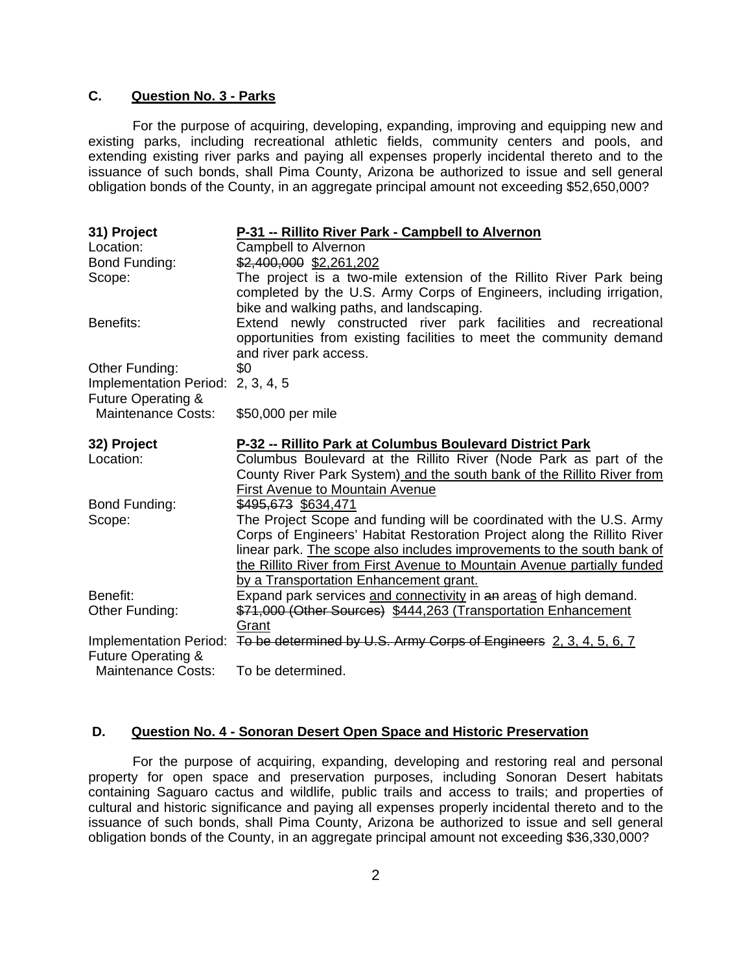## **C. Question No. 3 - Parks**

For the purpose of acquiring, developing, expanding, improving and equipping new and existing parks, including recreational athletic fields, community centers and pools, and extending existing river parks and paying all expenses properly incidental thereto and to the issuance of such bonds, shall Pima County, Arizona be authorized to issue and sell general obligation bonds of the County, in an aggregate principal amount not exceeding \$52,650,000?

| 31) Project<br>Location:                                                  | P-31 -- Rillito River Park - Campbell to Alvernon<br>Campbell to Alvernon                                                                                                                                                                                                                            |
|---------------------------------------------------------------------------|------------------------------------------------------------------------------------------------------------------------------------------------------------------------------------------------------------------------------------------------------------------------------------------------------|
| Bond Funding:                                                             | \$2,400,000 \$2,261,202                                                                                                                                                                                                                                                                              |
| Scope:                                                                    | The project is a two-mile extension of the Rillito River Park being<br>completed by the U.S. Army Corps of Engineers, including irrigation,<br>bike and walking paths, and landscaping.                                                                                                              |
| Benefits:                                                                 | Extend newly constructed river park facilities and recreational<br>opportunities from existing facilities to meet the community demand<br>and river park access.                                                                                                                                     |
| Other Funding:<br>Implementation Period: 2, 3, 4, 5<br>Future Operating & | \$0                                                                                                                                                                                                                                                                                                  |
| Maintenance Costs:                                                        | \$50,000 per mile                                                                                                                                                                                                                                                                                    |
| 32) Project                                                               | P-32 -- Rillito Park at Columbus Boulevard District Park                                                                                                                                                                                                                                             |
| Location:                                                                 | Columbus Boulevard at the Rillito River (Node Park as part of the<br>County River Park System) and the south bank of the Rillito River from<br>First Avenue to Mountain Avenue                                                                                                                       |
| Bond Funding:                                                             | \$495,673 \$634,471                                                                                                                                                                                                                                                                                  |
| Scope:                                                                    | The Project Scope and funding will be coordinated with the U.S. Army<br>Corps of Engineers' Habitat Restoration Project along the Rillito River<br>linear park. The scope also includes improvements to the south bank of<br>the Rillito River from First Avenue to Mountain Avenue partially funded |
| Benefit:                                                                  | by a Transportation Enhancement grant.<br>Expand park services and connectivity in an areas of high demand.                                                                                                                                                                                          |
| Other Funding:                                                            | \$71,000 (Other Sources) \$444,263 (Transportation Enhancement                                                                                                                                                                                                                                       |
| Implementation Period:                                                    | Grant<br>To be determined by U.S. Army Corps of Engineers 2, 3, 4, 5, 6, 7                                                                                                                                                                                                                           |
| Future Operating &                                                        |                                                                                                                                                                                                                                                                                                      |

## **D. Question No. 4 - Sonoran Desert Open Space and Historic Preservation**

For the purpose of acquiring, expanding, developing and restoring real and personal property for open space and preservation purposes, including Sonoran Desert habitats containing Saguaro cactus and wildlife, public trails and access to trails; and properties of cultural and historic significance and paying all expenses properly incidental thereto and to the issuance of such bonds, shall Pima County, Arizona be authorized to issue and sell general obligation bonds of the County, in an aggregate principal amount not exceeding \$36,330,000?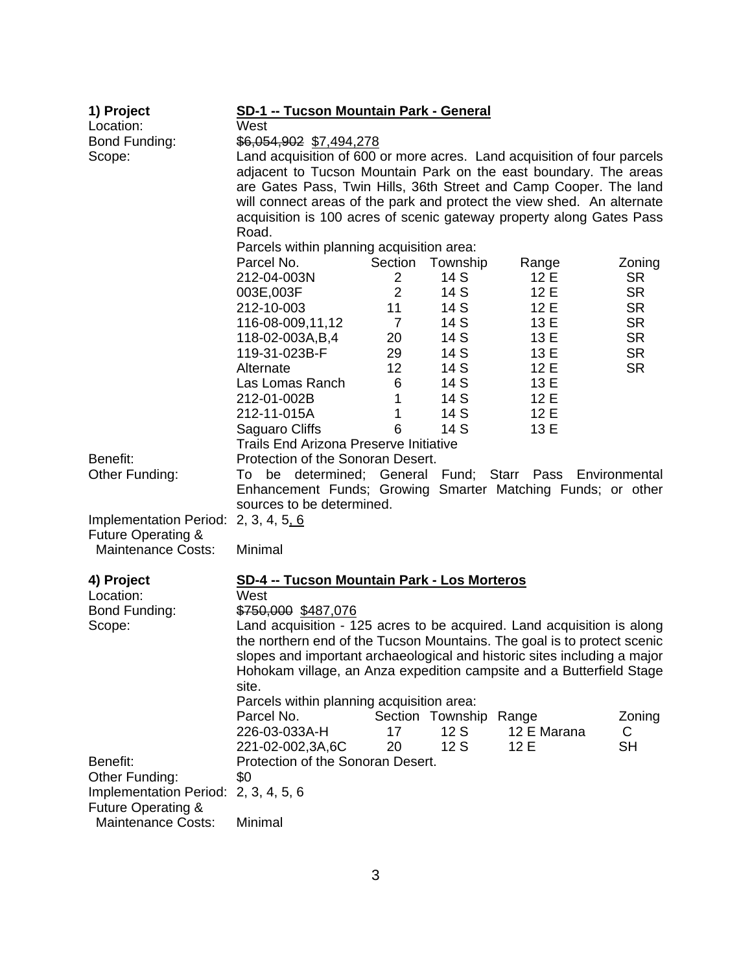| 1) Project                           | <b>SD-1 -- Tucson Mountain Park - General</b>                                                      |                |                  |             |           |  |
|--------------------------------------|----------------------------------------------------------------------------------------------------|----------------|------------------|-------------|-----------|--|
| Location:                            | West                                                                                               |                |                  |             |           |  |
| Bond Funding:                        | \$6,054,902 \$7,494,278<br>Land acquisition of 600 or more acres. Land acquisition of four parcels |                |                  |             |           |  |
| Scope:                               |                                                                                                    |                |                  |             |           |  |
|                                      | adjacent to Tucson Mountain Park on the east boundary. The areas                                   |                |                  |             |           |  |
|                                      | are Gates Pass, Twin Hills, 36th Street and Camp Cooper. The land                                  |                |                  |             |           |  |
|                                      | will connect areas of the park and protect the view shed. An alternate                             |                |                  |             |           |  |
|                                      | acquisition is 100 acres of scenic gateway property along Gates Pass                               |                |                  |             |           |  |
|                                      | Road.                                                                                              |                |                  |             |           |  |
|                                      | Parcels within planning acquisition area:                                                          |                |                  |             |           |  |
|                                      | Parcel No.                                                                                         | Section        | Township         | Range       | Zoning    |  |
|                                      | 212-04-003N                                                                                        | $\overline{2}$ | 14 S             | 12E         | <b>SR</b> |  |
|                                      | 003E,003F                                                                                          | $\overline{2}$ | 14 S             | 12 E        | <b>SR</b> |  |
|                                      | 212-10-003                                                                                         | 11             | 14 S             | 12E         | <b>SR</b> |  |
|                                      | 116-08-009,11,12                                                                                   | $\overline{7}$ | 14 S             | 13 E        | <b>SR</b> |  |
|                                      | 118-02-003A,B,4                                                                                    | 20             | 14 S             | 13 E        | <b>SR</b> |  |
|                                      | 119-31-023B-F                                                                                      | 29             | 14 S             | 13 E        | <b>SR</b> |  |
|                                      | Alternate                                                                                          | 12             | 14 S             | 12 E        | <b>SR</b> |  |
|                                      | Las Lomas Ranch                                                                                    | 6              | 14 S             | 13 E        |           |  |
|                                      | 212-01-002B                                                                                        | 1              | 14 S             | 12 E        |           |  |
|                                      | 212-11-015A                                                                                        | 1              | 14 S             | 12 E        |           |  |
|                                      | Saguaro Cliffs                                                                                     | 6              | 14 S             | 13 E        |           |  |
|                                      | <b>Trails End Arizona Preserve Initiative</b>                                                      |                |                  |             |           |  |
| Benefit:                             | Protection of the Sonoran Desert.                                                                  |                |                  |             |           |  |
| Other Funding:                       | To be determined; General Fund; Starr Pass Environmental                                           |                |                  |             |           |  |
|                                      | Enhancement Funds; Growing Smarter Matching Funds; or other                                        |                |                  |             |           |  |
|                                      | sources to be determined.                                                                          |                |                  |             |           |  |
| Implementation Period: 2, 3, 4, 5, 6 |                                                                                                    |                |                  |             |           |  |
| <b>Future Operating &amp;</b>        |                                                                                                    |                |                  |             |           |  |
| <b>Maintenance Costs:</b>            | Minimal                                                                                            |                |                  |             |           |  |
|                                      |                                                                                                    |                |                  |             |           |  |
| 4) Project                           | <b>SD-4 -- Tucson Mountain Park - Los Morteros</b>                                                 |                |                  |             |           |  |
| Location:                            | West                                                                                               |                |                  |             |           |  |
| Bond Funding:                        | \$750,000 \$487,076                                                                                |                |                  |             |           |  |
| Scope:                               | Land acquisition - 125 acres to be acquired. Land acquisition is along                             |                |                  |             |           |  |
|                                      | the northern end of the Tucson Mountains. The goal is to protect scenic                            |                |                  |             |           |  |
|                                      | slopes and important archaeological and historic sites including a major                           |                |                  |             |           |  |
|                                      | Hohokam village, an Anza expedition campsite and a Butterfield Stage                               |                |                  |             |           |  |
|                                      | site.                                                                                              |                |                  |             |           |  |
|                                      | Parcels within planning acquisition area:                                                          |                |                  |             |           |  |
|                                      | Parcel No.                                                                                         |                | Section Township | Range       | Zoning    |  |
|                                      | 226-03-033A-H                                                                                      | 17             | 12S              | 12 E Marana | C         |  |
|                                      | 221-02-002,3A,6C                                                                                   | 20             | 12S              | 12 E        | <b>SH</b> |  |
| Benefit:                             | Protection of the Sonoran Desert.                                                                  |                |                  |             |           |  |
| Other Funding:                       | \$0                                                                                                |                |                  |             |           |  |
| <b>Implementation Period:</b>        | 2, 3, 4, 5, 6                                                                                      |                |                  |             |           |  |
| <b>Future Operating &amp;</b>        |                                                                                                    |                |                  |             |           |  |
| <b>Maintenance Costs:</b>            | Minimal                                                                                            |                |                  |             |           |  |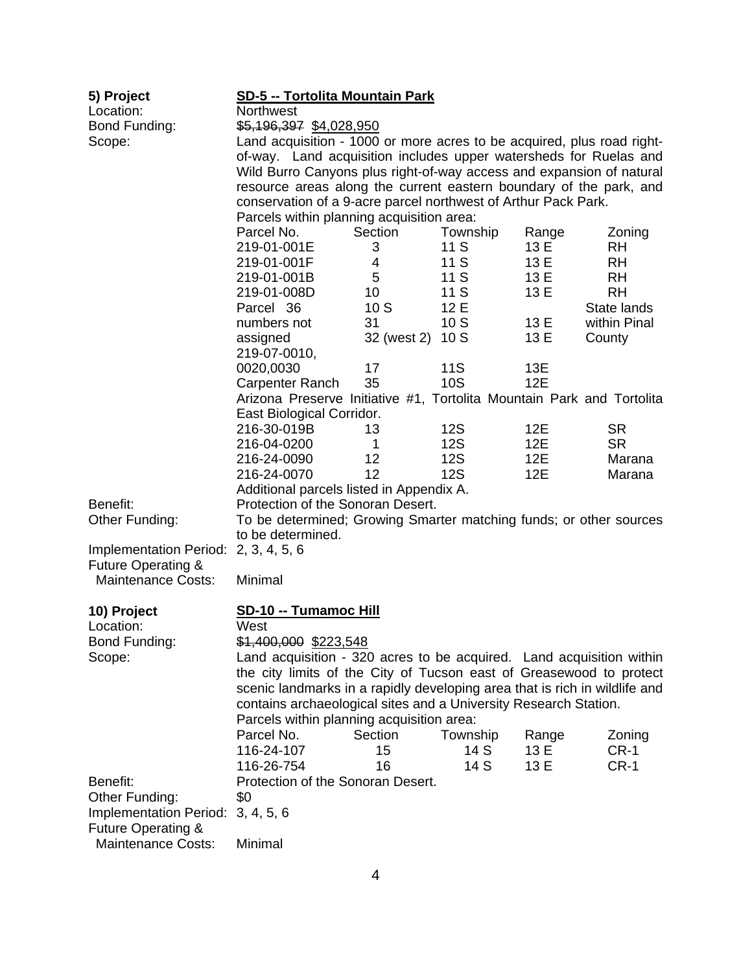| 5) Project<br>Location:                  | <b>SD-5 -- Tortolita Mountain Park</b><br>Northwest                                                                                         |                     |                          |              |                        |
|------------------------------------------|---------------------------------------------------------------------------------------------------------------------------------------------|---------------------|--------------------------|--------------|------------------------|
| Bond Funding:                            | \$5,196,397 \$4,028,950                                                                                                                     |                     |                          |              |                        |
| Scope:                                   | Land acquisition - 1000 or more acres to be acquired, plus road right-<br>of-way. Land acquisition includes upper watersheds for Ruelas and |                     |                          |              |                        |
|                                          | Wild Burro Canyons plus right-of-way access and expansion of natural                                                                        |                     |                          |              |                        |
|                                          | resource areas along the current eastern boundary of the park, and                                                                          |                     |                          |              |                        |
|                                          | conservation of a 9-acre parcel northwest of Arthur Pack Park.                                                                              |                     |                          |              |                        |
|                                          | Parcels within planning acquisition area:                                                                                                   |                     |                          |              |                        |
|                                          | Parcel No.                                                                                                                                  | Section             | Township                 | Range        | Zoning                 |
|                                          | 219-01-001E                                                                                                                                 | 3                   | 11 S                     | 13 E         | <b>RH</b>              |
|                                          | 219-01-001F                                                                                                                                 | $\overline{4}$<br>5 | 11 S<br>11 S             | 13 E<br>13 E | <b>RH</b><br><b>RH</b> |
|                                          | 219-01-001B<br>219-01-008D                                                                                                                  | 10                  | 11 S                     | 13 E         | <b>RH</b>              |
|                                          | Parcel 36                                                                                                                                   | 10S                 | 12 E                     |              | State lands            |
|                                          | numbers not                                                                                                                                 | 31                  | 10S                      | 13 E         | within Pinal           |
|                                          | assigned                                                                                                                                    | 32 (west 2)         | 10S                      | 13 E         | County                 |
|                                          | 219-07-0010,                                                                                                                                |                     |                          |              |                        |
|                                          | 0020,0030                                                                                                                                   | 17                  | 11S                      | 13E          |                        |
|                                          | Carpenter Ranch                                                                                                                             | 35                  | <b>10S</b>               | 12E          |                        |
|                                          | Arizona Preserve Initiative #1, Tortolita Mountain Park and Tortolita                                                                       |                     |                          |              |                        |
|                                          | East Biological Corridor.                                                                                                                   |                     |                          |              |                        |
|                                          | 216-30-019B                                                                                                                                 | 13                  | 12S                      | 12E          | <b>SR</b>              |
|                                          | 216-04-0200<br>216-24-0090                                                                                                                  | 1<br>12             | <b>12S</b><br><b>12S</b> | 12E<br>12E   | <b>SR</b><br>Marana    |
|                                          | 216-24-0070                                                                                                                                 | 12                  | <b>12S</b>               | 12E          | Marana                 |
|                                          | Additional parcels listed in Appendix A.                                                                                                    |                     |                          |              |                        |
| Benefit:                                 | Protection of the Sonoran Desert.                                                                                                           |                     |                          |              |                        |
| Other Funding:                           | To be determined; Growing Smarter matching funds; or other sources                                                                          |                     |                          |              |                        |
|                                          | to be determined.                                                                                                                           |                     |                          |              |                        |
| Implementation Period: 2, 3, 4, 5, 6     |                                                                                                                                             |                     |                          |              |                        |
| <b>Future Operating &amp;</b>            |                                                                                                                                             |                     |                          |              |                        |
| <b>Maintenance Costs:</b>                | Minimal                                                                                                                                     |                     |                          |              |                        |
| 10) Project                              | SD-10 -- Tumamoc Hill                                                                                                                       |                     |                          |              |                        |
| Location:                                | West                                                                                                                                        |                     |                          |              |                        |
| Bond Funding:                            | \$1,400,000 \$223,548                                                                                                                       |                     |                          |              |                        |
| Scope:                                   | Land acquisition - 320 acres to be acquired. Land acquisition within                                                                        |                     |                          |              |                        |
|                                          | the city limits of the City of Tucson east of Greasewood to protect                                                                         |                     |                          |              |                        |
|                                          | scenic landmarks in a rapidly developing area that is rich in wildlife and                                                                  |                     |                          |              |                        |
|                                          | contains archaeological sites and a University Research Station.                                                                            |                     |                          |              |                        |
|                                          | Parcels within planning acquisition area:                                                                                                   |                     |                          |              |                        |
|                                          | Parcel No.                                                                                                                                  | Section             | Township                 | Range        | Zoning                 |
|                                          | 116-24-107                                                                                                                                  | 15                  | 14 S                     | 13 E         | $CR-1$                 |
|                                          | 116-26-754                                                                                                                                  | 16                  | 14 S                     | 13 E         | $CR-1$                 |
| Benefit:                                 | Protection of the Sonoran Desert.                                                                                                           |                     |                          |              |                        |
| Other Funding:<br>Implementation Period: | \$0<br>3, 4, 5, 6                                                                                                                           |                     |                          |              |                        |
| <b>Future Operating &amp;</b>            |                                                                                                                                             |                     |                          |              |                        |
| <b>Maintenance Costs:</b>                | Minimal                                                                                                                                     |                     |                          |              |                        |
|                                          |                                                                                                                                             |                     |                          |              |                        |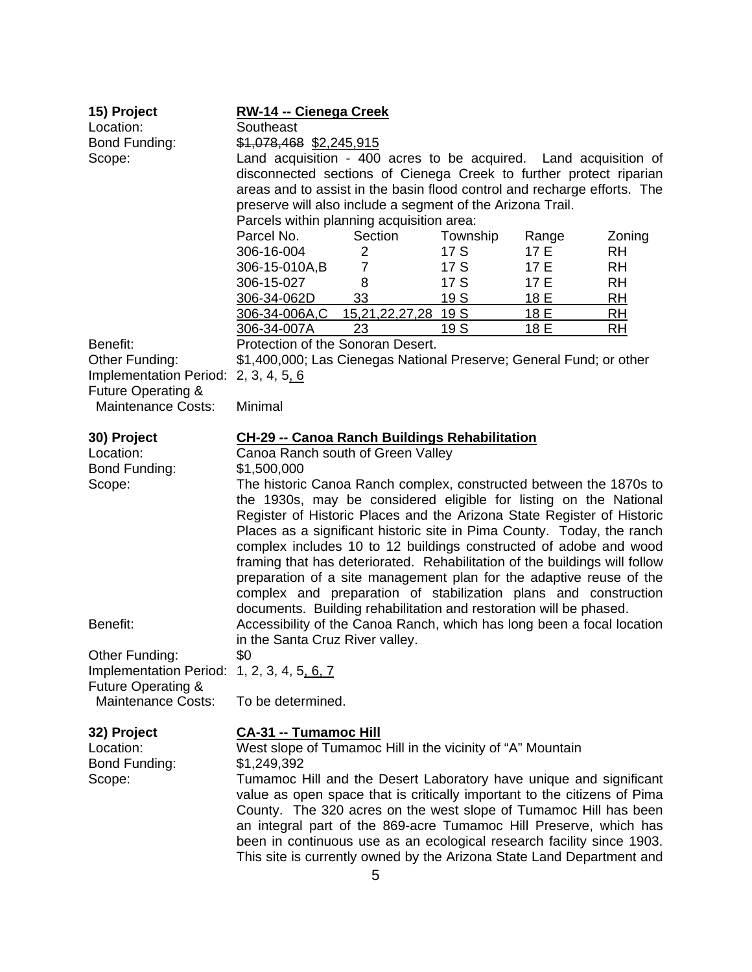| 15) Project<br>Location:<br>Bond Funding:<br>Scope:                                                    | RW-14 -- Cienega Creek<br>Southeast<br>\$1,078,468 \$2,245,915<br>Land acquisition - 400 acres to be acquired. Land acquisition of<br>disconnected sections of Cienega Creek to further protect riparian<br>areas and to assist in the basin flood control and recharge efforts. The<br>preserve will also include a segment of the Arizona Trail.<br>Parcels within planning acquisition area:                                                                                                                                                                                                                                                                                                                                                                                                                                                      |                            |                 |       |           |
|--------------------------------------------------------------------------------------------------------|------------------------------------------------------------------------------------------------------------------------------------------------------------------------------------------------------------------------------------------------------------------------------------------------------------------------------------------------------------------------------------------------------------------------------------------------------------------------------------------------------------------------------------------------------------------------------------------------------------------------------------------------------------------------------------------------------------------------------------------------------------------------------------------------------------------------------------------------------|----------------------------|-----------------|-------|-----------|
|                                                                                                        | Parcel No.                                                                                                                                                                                                                                                                                                                                                                                                                                                                                                                                                                                                                                                                                                                                                                                                                                           | Section                    | Township        | Range | Zoning    |
|                                                                                                        | 306-16-004                                                                                                                                                                                                                                                                                                                                                                                                                                                                                                                                                                                                                                                                                                                                                                                                                                           | 2                          | 17 S            | 17 E  | <b>RH</b> |
|                                                                                                        | 306-15-010A,B                                                                                                                                                                                                                                                                                                                                                                                                                                                                                                                                                                                                                                                                                                                                                                                                                                        | $\overline{7}$             | 17 S            | 17 E  | <b>RH</b> |
|                                                                                                        | 306-15-027                                                                                                                                                                                                                                                                                                                                                                                                                                                                                                                                                                                                                                                                                                                                                                                                                                           | 8                          | 17 S            | 17 E  | <b>RH</b> |
|                                                                                                        | 306-34-062D                                                                                                                                                                                                                                                                                                                                                                                                                                                                                                                                                                                                                                                                                                                                                                                                                                          | 33                         | 19 S            | 18 E  | <u>RH</u> |
|                                                                                                        | 306-34-006A,C                                                                                                                                                                                                                                                                                                                                                                                                                                                                                                                                                                                                                                                                                                                                                                                                                                        | <u>15,21,22,27,28 19 S</u> |                 | 18 E  | <u>RH</u> |
|                                                                                                        | 306-34-007A                                                                                                                                                                                                                                                                                                                                                                                                                                                                                                                                                                                                                                                                                                                                                                                                                                          | 23                         | 19 <sub>S</sub> | 18 E  | <b>RH</b> |
| Benefit:                                                                                               | Protection of the Sonoran Desert.                                                                                                                                                                                                                                                                                                                                                                                                                                                                                                                                                                                                                                                                                                                                                                                                                    |                            |                 |       |           |
| Other Funding:<br>Implementation Period:<br><b>Future Operating &amp;</b>                              | \$1,400,000; Las Cienegas National Preserve; General Fund; or other<br>2, 3, 4, 5, 6                                                                                                                                                                                                                                                                                                                                                                                                                                                                                                                                                                                                                                                                                                                                                                 |                            |                 |       |           |
| <b>Maintenance Costs:</b>                                                                              | Minimal                                                                                                                                                                                                                                                                                                                                                                                                                                                                                                                                                                                                                                                                                                                                                                                                                                              |                            |                 |       |           |
| 30) Project<br>Location:<br>Bond Funding:<br>Scope:<br>Benefit:                                        | <b>CH-29 -- Canoa Ranch Buildings Rehabilitation</b><br>Canoa Ranch south of Green Valley<br>\$1,500,000<br>The historic Canoa Ranch complex, constructed between the 1870s to<br>the 1930s, may be considered eligible for listing on the National<br>Register of Historic Places and the Arizona State Register of Historic<br>Places as a significant historic site in Pima County. Today, the ranch<br>complex includes 10 to 12 buildings constructed of adobe and wood<br>framing that has deteriorated. Rehabilitation of the buildings will follow<br>preparation of a site management plan for the adaptive reuse of the<br>complex and preparation of stabilization plans and construction<br>documents. Building rehabilitation and restoration will be phased.<br>Accessibility of the Canoa Ranch, which has long been a focal location |                            |                 |       |           |
| Other Funding:<br>Implementation Period:<br><b>Future Operating &amp;</b><br><b>Maintenance Costs:</b> | in the Santa Cruz River valley.<br>\$0<br>1, 2, 3, 4, 5, 6, 7                                                                                                                                                                                                                                                                                                                                                                                                                                                                                                                                                                                                                                                                                                                                                                                        |                            |                 |       |           |
|                                                                                                        | To be determined.                                                                                                                                                                                                                                                                                                                                                                                                                                                                                                                                                                                                                                                                                                                                                                                                                                    |                            |                 |       |           |
| 32) Project<br>Location:<br>Bond Funding:<br>Scope:                                                    | <b>CA-31 -- Tumamoc Hill</b><br>West slope of Tumamoc Hill in the vicinity of "A" Mountain<br>\$1,249,392<br>Tumamoc Hill and the Desert Laboratory have unique and significant<br>value as open space that is critically important to the citizens of Pima<br>County. The 320 acres on the west slope of Tumamoc Hill has been<br>an integral part of the 869-acre Tumamoc Hill Preserve, which has<br>been in continuous use as an ecological research facility since 1903.<br>This site is currently owned by the Arizona State Land Department and                                                                                                                                                                                                                                                                                               |                            |                 |       |           |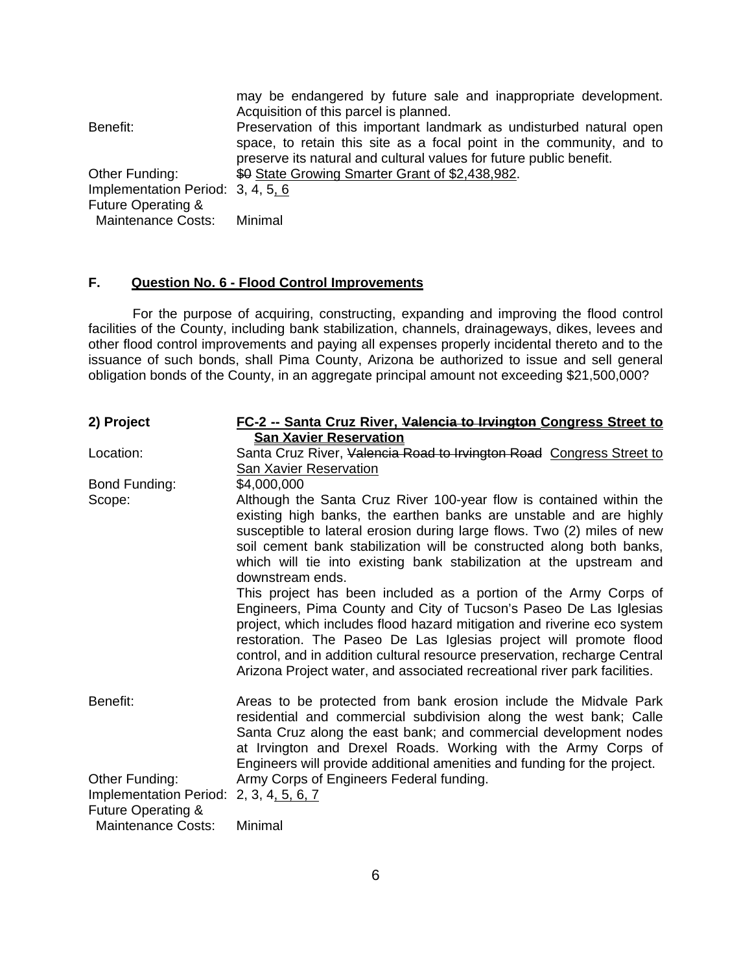| Benefit:                          | may be endangered by future sale and inappropriate development.<br>Acquisition of this parcel is planned.<br>Preservation of this important landmark as undisturbed natural open<br>space, to retain this site as a focal point in the community, and to<br>preserve its natural and cultural values for future public benefit. |
|-----------------------------------|---------------------------------------------------------------------------------------------------------------------------------------------------------------------------------------------------------------------------------------------------------------------------------------------------------------------------------|
| Other Funding:                    | \$0 State Growing Smarter Grant of \$2,438,982.                                                                                                                                                                                                                                                                                 |
| Implementation Period: 3, 4, 5, 6 |                                                                                                                                                                                                                                                                                                                                 |
| <b>Future Operating &amp;</b>     |                                                                                                                                                                                                                                                                                                                                 |
| <b>Maintenance Costs:</b>         | Minimal                                                                                                                                                                                                                                                                                                                         |

# **F. Question No. 6 - Flood Control Improvements**

For the purpose of acquiring, constructing, expanding and improving the flood control facilities of the County, including bank stabilization, channels, drainageways, dikes, levees and other flood control improvements and paying all expenses properly incidental thereto and to the issuance of such bonds, shall Pima County, Arizona be authorized to issue and sell general obligation bonds of the County, in an aggregate principal amount not exceeding \$21,500,000?

| 2) Project                              | FC-2 -- Santa Cruz River, Valencia to Irvington Congress Street to                                                                                                                                                                                                                                                                                                                                                                              |  |  |  |
|-----------------------------------------|-------------------------------------------------------------------------------------------------------------------------------------------------------------------------------------------------------------------------------------------------------------------------------------------------------------------------------------------------------------------------------------------------------------------------------------------------|--|--|--|
|                                         | <b>San Xavier Reservation</b>                                                                                                                                                                                                                                                                                                                                                                                                                   |  |  |  |
| Location:                               | Santa Cruz River, Valencia Road to Irvington Road Congress Street to                                                                                                                                                                                                                                                                                                                                                                            |  |  |  |
|                                         | San Xavier Reservation                                                                                                                                                                                                                                                                                                                                                                                                                          |  |  |  |
| Bond Funding:                           | \$4,000,000                                                                                                                                                                                                                                                                                                                                                                                                                                     |  |  |  |
| Scope:                                  | Although the Santa Cruz River 100-year flow is contained within the<br>existing high banks, the earthen banks are unstable and are highly<br>susceptible to lateral erosion during large flows. Two (2) miles of new<br>soil cement bank stabilization will be constructed along both banks,<br>which will tie into existing bank stabilization at the upstream and<br>downstream ends.                                                         |  |  |  |
|                                         | This project has been included as a portion of the Army Corps of<br>Engineers, Pima County and City of Tucson's Paseo De Las Iglesias<br>project, which includes flood hazard mitigation and riverine eco system<br>restoration. The Paseo De Las Iglesias project will promote flood<br>control, and in addition cultural resource preservation, recharge Central<br>Arizona Project water, and associated recreational river park facilities. |  |  |  |
| Benefit:                                | Areas to be protected from bank erosion include the Midvale Park<br>residential and commercial subdivision along the west bank; Calle<br>Santa Cruz along the east bank; and commercial development nodes<br>at Irvington and Drexel Roads. Working with the Army Corps of<br>Engineers will provide additional amenities and funding for the project.                                                                                          |  |  |  |
| Other Funding:                          | Army Corps of Engineers Federal funding.                                                                                                                                                                                                                                                                                                                                                                                                        |  |  |  |
| Implementation Period: 2, 3, 4, 5, 6, 7 |                                                                                                                                                                                                                                                                                                                                                                                                                                                 |  |  |  |
| Future Operating &                      |                                                                                                                                                                                                                                                                                                                                                                                                                                                 |  |  |  |
| <b>Maintenance Costs:</b>               | Minimal                                                                                                                                                                                                                                                                                                                                                                                                                                         |  |  |  |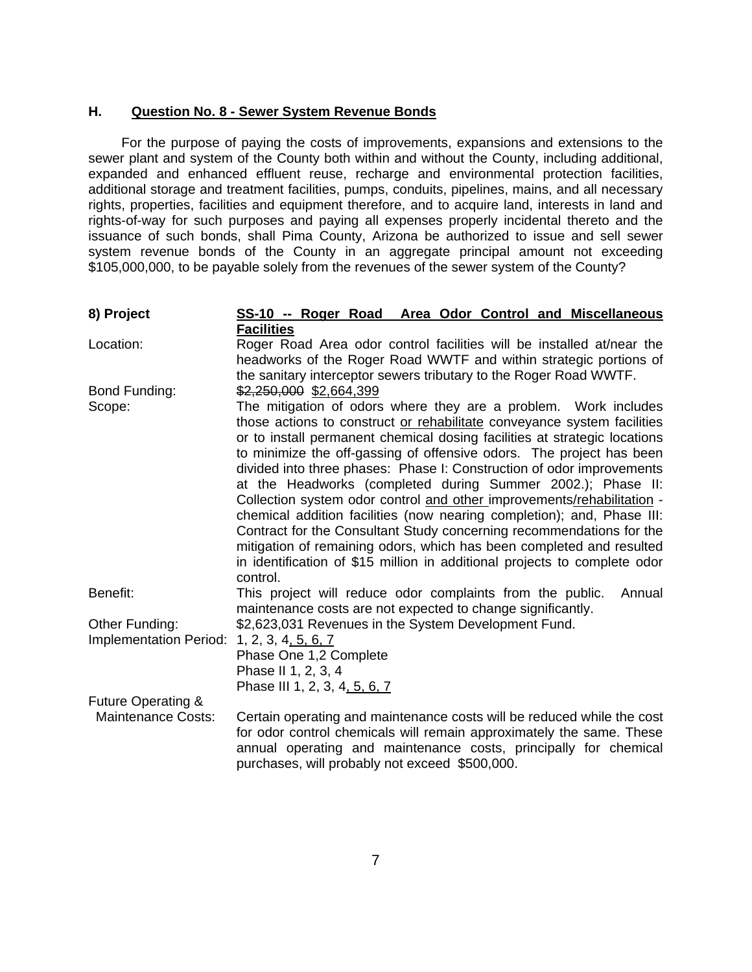### **H. Question No. 8 - Sewer System Revenue Bonds**

For the purpose of paying the costs of improvements, expansions and extensions to the sewer plant and system of the County both within and without the County, including additional, expanded and enhanced effluent reuse, recharge and environmental protection facilities, additional storage and treatment facilities, pumps, conduits, pipelines, mains, and all necessary rights, properties, facilities and equipment therefore, and to acquire land, interests in land and rights-of-way for such purposes and paying all expenses properly incidental thereto and the issuance of such bonds, shall Pima County, Arizona be authorized to issue and sell sewer system revenue bonds of the County in an aggregate principal amount not exceeding \$105,000,000, to be payable solely from the revenues of the sewer system of the County?

| 8) Project                                 | SS-10 -- Roger Road Area Odor Control and Miscellaneous                                                                                                                                                                                                                                                                                                                                                                                                                                                                                                                                     |
|--------------------------------------------|---------------------------------------------------------------------------------------------------------------------------------------------------------------------------------------------------------------------------------------------------------------------------------------------------------------------------------------------------------------------------------------------------------------------------------------------------------------------------------------------------------------------------------------------------------------------------------------------|
|                                            | <b>Facilities</b>                                                                                                                                                                                                                                                                                                                                                                                                                                                                                                                                                                           |
| Location:                                  | Roger Road Area odor control facilities will be installed at/near the<br>headworks of the Roger Road WWTF and within strategic portions of<br>the sanitary interceptor sewers tributary to the Roger Road WWTF.                                                                                                                                                                                                                                                                                                                                                                             |
| Bond Funding:                              | \$2,250,000 \$2,664,399                                                                                                                                                                                                                                                                                                                                                                                                                                                                                                                                                                     |
| Scope:                                     | The mitigation of odors where they are a problem. Work includes<br>those actions to construct or rehabilitate conveyance system facilities<br>or to install permanent chemical dosing facilities at strategic locations<br>to minimize the off-gassing of offensive odors. The project has been<br>divided into three phases: Phase I: Construction of odor improvements<br>at the Headworks (completed during Summer 2002.); Phase II:<br>Collection system odor control and other improvements/rehabilitation -<br>chemical addition facilities (now nearing completion); and, Phase III: |
|                                            | Contract for the Consultant Study concerning recommendations for the<br>mitigation of remaining odors, which has been completed and resulted<br>in identification of \$15 million in additional projects to complete odor<br>control.                                                                                                                                                                                                                                                                                                                                                       |
| Benefit:                                   | This project will reduce odor complaints from the public.<br>Annual<br>maintenance costs are not expected to change significantly.                                                                                                                                                                                                                                                                                                                                                                                                                                                          |
| Other Funding:                             | \$2,623,031 Revenues in the System Development Fund.                                                                                                                                                                                                                                                                                                                                                                                                                                                                                                                                        |
| Implementation Period: 1, 2, 3, 4, 5, 6, 7 | Phase One 1,2 Complete<br>Phase II 1, 2, 3, 4<br>Phase III 1, 2, 3, 4, 5, 6, 7                                                                                                                                                                                                                                                                                                                                                                                                                                                                                                              |
| Future Operating &                         |                                                                                                                                                                                                                                                                                                                                                                                                                                                                                                                                                                                             |
| <b>Maintenance Costs:</b>                  | Certain operating and maintenance costs will be reduced while the cost<br>for odor control chemicals will remain approximately the same. These<br>annual operating and maintenance costs, principally for chemical<br>purchases, will probably not exceed \$500,000.                                                                                                                                                                                                                                                                                                                        |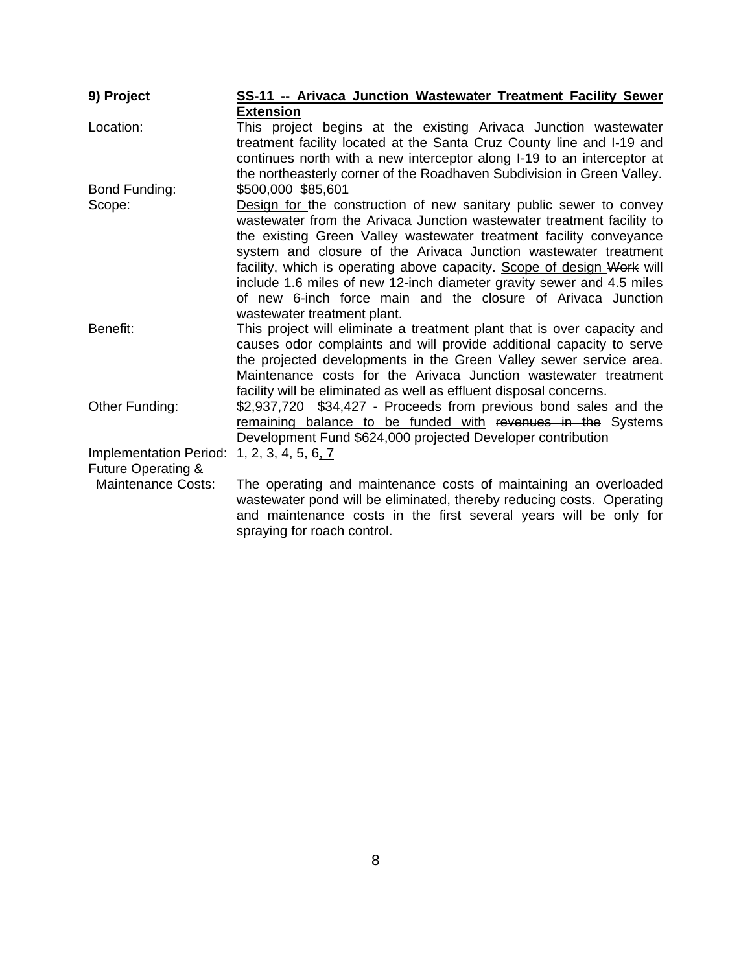| 9) Project                                          | SS-11 -- Arivaca Junction Wastewater Treatment Facility Sewer                                                                                                                                                                                                                                                                                                                                                                                                                                                                          |
|-----------------------------------------------------|----------------------------------------------------------------------------------------------------------------------------------------------------------------------------------------------------------------------------------------------------------------------------------------------------------------------------------------------------------------------------------------------------------------------------------------------------------------------------------------------------------------------------------------|
|                                                     | <b>Extension</b>                                                                                                                                                                                                                                                                                                                                                                                                                                                                                                                       |
| Location:                                           | This project begins at the existing Arivaca Junction wastewater<br>treatment facility located at the Santa Cruz County line and I-19 and<br>continues north with a new interceptor along I-19 to an interceptor at<br>the northeasterly corner of the Roadhaven Subdivision in Green Valley.                                                                                                                                                                                                                                           |
| Bond Funding:                                       | \$500,000 \$85,601                                                                                                                                                                                                                                                                                                                                                                                                                                                                                                                     |
| Scope:                                              | Design for the construction of new sanitary public sewer to convey<br>wastewater from the Arivaca Junction wastewater treatment facility to<br>the existing Green Valley wastewater treatment facility conveyance<br>system and closure of the Arivaca Junction wastewater treatment<br>facility, which is operating above capacity. Scope of design Work will<br>include 1.6 miles of new 12-inch diameter gravity sewer and 4.5 miles<br>of new 6-inch force main and the closure of Arivaca Junction<br>wastewater treatment plant. |
| Benefit:                                            | This project will eliminate a treatment plant that is over capacity and<br>causes odor complaints and will provide additional capacity to serve<br>the projected developments in the Green Valley sewer service area.<br>Maintenance costs for the Arivaca Junction wastewater treatment<br>facility will be eliminated as well as effluent disposal concerns.                                                                                                                                                                         |
| Other Funding:                                      | \$2,937,720 \$34,427 - Proceeds from previous bond sales and the<br>remaining balance to be funded with revenues in the Systems<br>Development Fund \$624,000 projected Developer contribution                                                                                                                                                                                                                                                                                                                                         |
| <b>Implementation Period:</b><br>Future Operating & | 1, 2, 3, 4, 5, 6, 7                                                                                                                                                                                                                                                                                                                                                                                                                                                                                                                    |
| <b>Maintenance Costs:</b>                           | The operating and maintenance costs of maintaining an overloaded<br>wastewater pond will be eliminated, thereby reducing costs. Operating<br>and maintenance costs in the first several years will be only for<br>spraying for roach control.                                                                                                                                                                                                                                                                                          |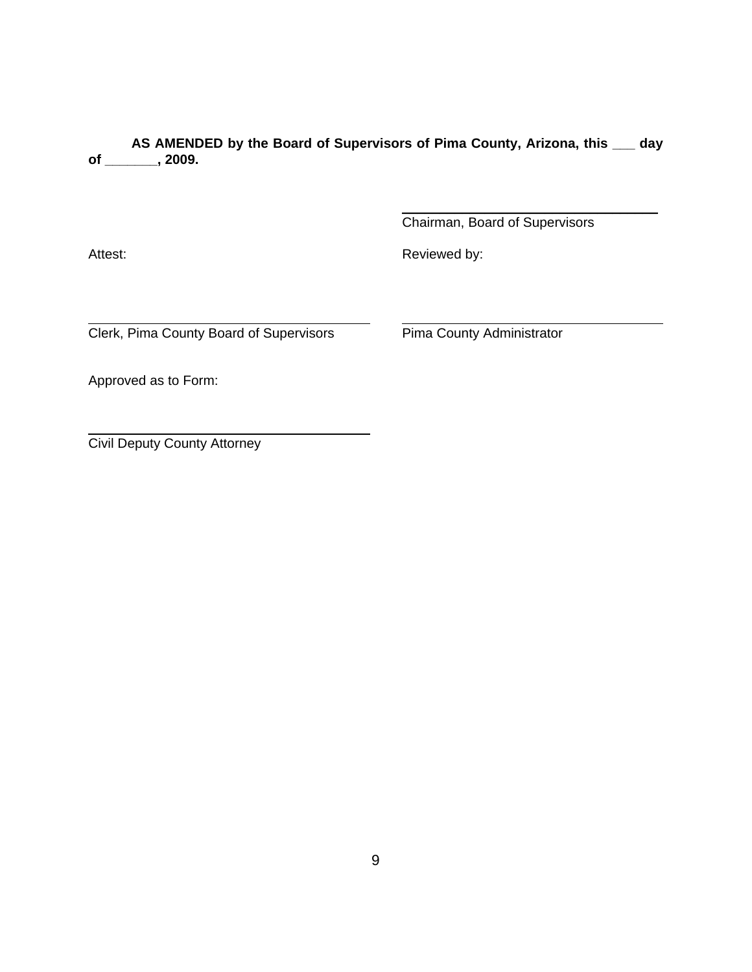**AS AMENDED by the Board of Supervisors of Pima County, Arizona, this \_\_\_ day of \_\_\_\_\_\_\_, 2009.**

Chairman, Board of Supervisors

\_\_\_\_\_\_\_\_\_\_\_\_\_\_\_\_\_\_\_\_\_\_\_\_\_\_\_\_\_\_\_\_\_\_

 $\overline{a}$ 

 $\overline{a}$ 

Attest: **Attest: Reviewed by: Reviewed by:** 

Clerk, Pima County Board of Supervisors Pima County Administrator

Approved as to Form:

Civil Deputy County Attorney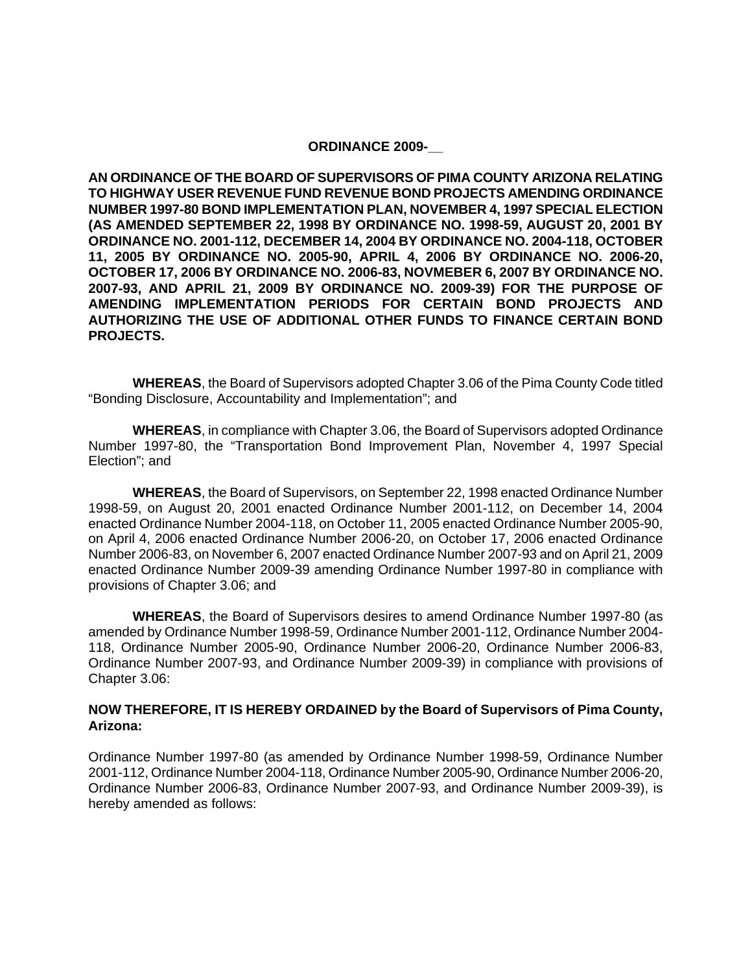#### **ORDINANCE 2009-\_\_**

**AN ORDINANCE OF THE BOARD OF SUPERVISORS OF PIMA COUNTY ARIZONA RELATING TO HIGHWAY USER REVENUE FUND REVENUE BOND PROJECTS AMENDING ORDINANCE NUMBER 1997-80 BOND IMPLEMENTATION PLAN, NOVEMBER 4, 1997 SPECIAL ELECTION (AS AMENDED SEPTEMBER 22, 1998 BY ORDINANCE NO. 1998-59, AUGUST 20, 2001 BY ORDINANCE NO. 2001-112, DECEMBER 14, 2004 BY ORDINANCE NO. 2004-118, OCTOBER 11, 2005 BY ORDINANCE NO. 2005-90, APRIL 4, 2006 BY ORDINANCE NO. 2006-20, OCTOBER 17, 2006 BY ORDINANCE NO. 2006-83, NOVMEBER 6, 2007 BY ORDINANCE NO. 2007-93, AND APRIL 21, 2009 BY ORDINANCE NO. 2009-39) FOR THE PURPOSE OF AMENDING IMPLEMENTATION PERIODS FOR CERTAIN BOND PROJECTS AND AUTHORIZING THE USE OF ADDITIONAL OTHER FUNDS TO FINANCE CERTAIN BOND PROJECTS.** 

**WHEREAS**, the Board of Supervisors adopted Chapter 3.06 of the Pima County Code titled "Bonding Disclosure, Accountability and Implementation"; and

**WHEREAS**, in compliance with Chapter 3.06, the Board of Supervisors adopted Ordinance Number 1997-80, the "Transportation Bond Improvement Plan, November 4, 1997 Special Election"; and

**WHEREAS**, the Board of Supervisors, on September 22, 1998 enacted Ordinance Number 1998-59, on August 20, 2001 enacted Ordinance Number 2001-112, on December 14, 2004 enacted Ordinance Number 2004-118, on October 11, 2005 enacted Ordinance Number 2005-90, on April 4, 2006 enacted Ordinance Number 2006-20, on October 17, 2006 enacted Ordinance Number 2006-83, on November 6, 2007 enacted Ordinance Number 2007-93 and on April 21, 2009 enacted Ordinance Number 2009-39 amending Ordinance Number 1997-80 in compliance with provisions of Chapter 3.06; and

**WHEREAS**, the Board of Supervisors desires to amend Ordinance Number 1997-80 (as amended by Ordinance Number 1998-59, Ordinance Number 2001-112, Ordinance Number 2004- 118, Ordinance Number 2005-90, Ordinance Number 2006-20, Ordinance Number 2006-83, Ordinance Number 2007-93, and Ordinance Number 2009-39) in compliance with provisions of Chapter 3.06:

#### **NOW THEREFORE, IT IS HEREBY ORDAINED by the Board of Supervisors of Pima County, Arizona:**

Ordinance Number 1997-80 (as amended by Ordinance Number 1998-59, Ordinance Number 2001-112, Ordinance Number 2004-118, Ordinance Number 2005-90, Ordinance Number 2006-20, Ordinance Number 2006-83, Ordinance Number 2007-93, and Ordinance Number 2009-39), is hereby amended as follows: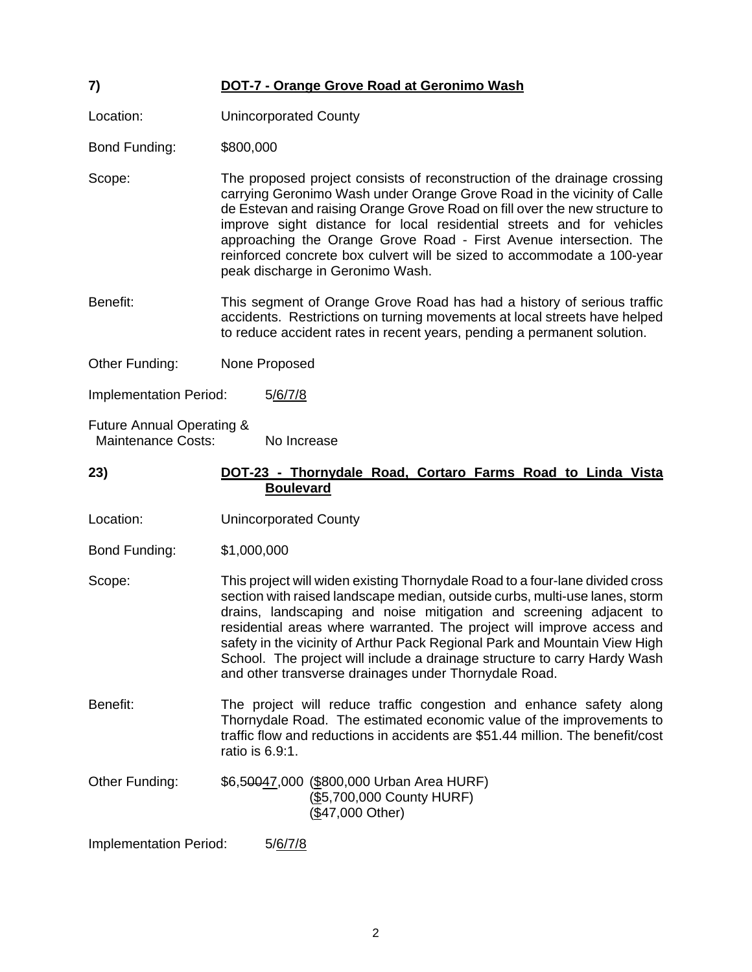# **7) DOT-7 - Orange Grove Road at Geronimo Wash**

Location: Unincorporated County

Bond Funding: \$800,000

- Scope: The proposed project consists of reconstruction of the drainage crossing carrying Geronimo Wash under Orange Grove Road in the vicinity of Calle de Estevan and raising Orange Grove Road on fill over the new structure to improve sight distance for local residential streets and for vehicles approaching the Orange Grove Road - First Avenue intersection. The reinforced concrete box culvert will be sized to accommodate a 100-year peak discharge in Geronimo Wash.
- Benefit: This segment of Orange Grove Road has had a history of serious traffic accidents. Restrictions on turning movements at local streets have helped to reduce accident rates in recent years, pending a permanent solution.
- Other Funding: None Proposed

Implementation Period: 5/6/7/8

Future Annual Operating & Maintenance Costs: No Increase

## **23) DOT-23 - Thornydale Road, Cortaro Farms Road to Linda Vista Boulevard**

Location: Unincorporated County

Bond Funding: \$1,000,000

Scope: This project will widen existing Thornydale Road to a four-lane divided cross section with raised landscape median, outside curbs, multi-use lanes, storm drains, landscaping and noise mitigation and screening adjacent to residential areas where warranted. The project will improve access and safety in the vicinity of Arthur Pack Regional Park and Mountain View High School. The project will include a drainage structure to carry Hardy Wash and other transverse drainages under Thornydale Road.

- Benefit: The project will reduce traffic congestion and enhance safety along Thornydale Road. The estimated economic value of the improvements to traffic flow and reductions in accidents are \$51.44 million. The benefit/cost ratio is 6.9:1.
- Other Funding: \$6,50047,000 (\$800,000 Urban Area HURF) (\$5,700,000 County HURF) (\$47,000 Other)

Implementation Period: 5/6/7/8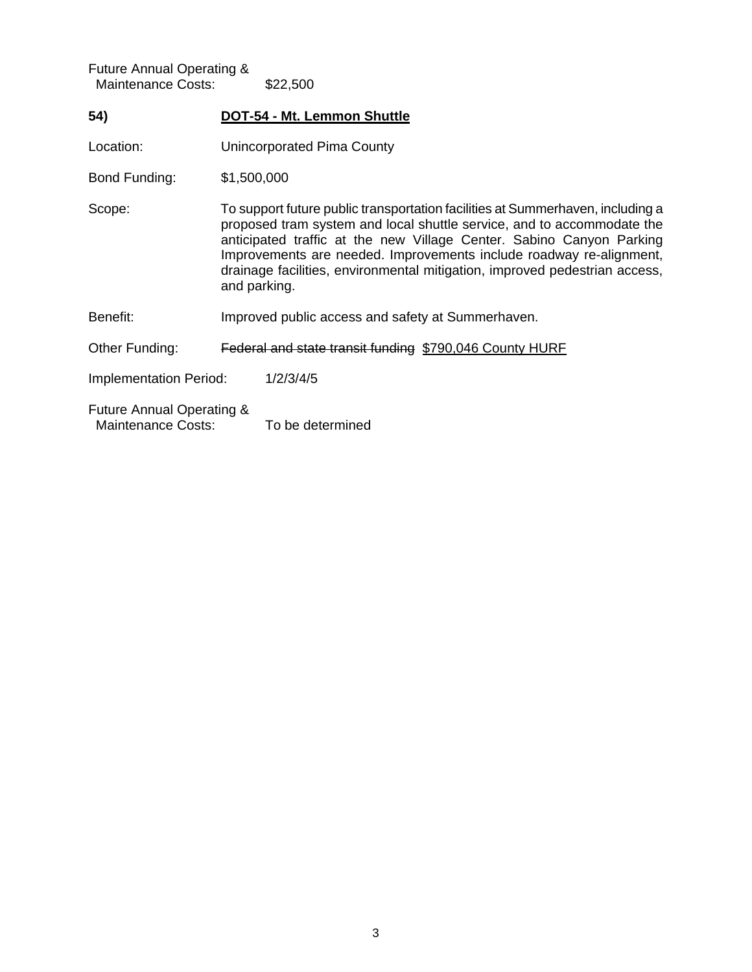| <b>Future Annual Operating &amp;</b><br><b>Maintenance Costs:</b> |                                                         | \$22,500                                                                                                                                                                                                                                                                                                                                                                                              |  |  |
|-------------------------------------------------------------------|---------------------------------------------------------|-------------------------------------------------------------------------------------------------------------------------------------------------------------------------------------------------------------------------------------------------------------------------------------------------------------------------------------------------------------------------------------------------------|--|--|
| 54)                                                               |                                                         | <b>DOT-54 - Mt. Lemmon Shuttle</b>                                                                                                                                                                                                                                                                                                                                                                    |  |  |
| Location:                                                         |                                                         | Unincorporated Pima County                                                                                                                                                                                                                                                                                                                                                                            |  |  |
| Bond Funding:                                                     |                                                         | \$1,500,000                                                                                                                                                                                                                                                                                                                                                                                           |  |  |
| Scope:                                                            |                                                         | To support future public transportation facilities at Summerhaven, including a<br>proposed tram system and local shuttle service, and to accommodate the<br>anticipated traffic at the new Village Center. Sabino Canyon Parking<br>Improvements are needed. Improvements include roadway re-alignment,<br>drainage facilities, environmental mitigation, improved pedestrian access,<br>and parking. |  |  |
| Benefit:                                                          | Improved public access and safety at Summerhaven.       |                                                                                                                                                                                                                                                                                                                                                                                                       |  |  |
| Other Funding:                                                    | Federal and state transit funding \$790,046 County HURF |                                                                                                                                                                                                                                                                                                                                                                                                       |  |  |
| <b>Implementation Period:</b>                                     |                                                         | 1/2/3/4/5                                                                                                                                                                                                                                                                                                                                                                                             |  |  |
| Future Annual Operating &<br><b>Maintenance Costs:</b>            |                                                         | To be determined                                                                                                                                                                                                                                                                                                                                                                                      |  |  |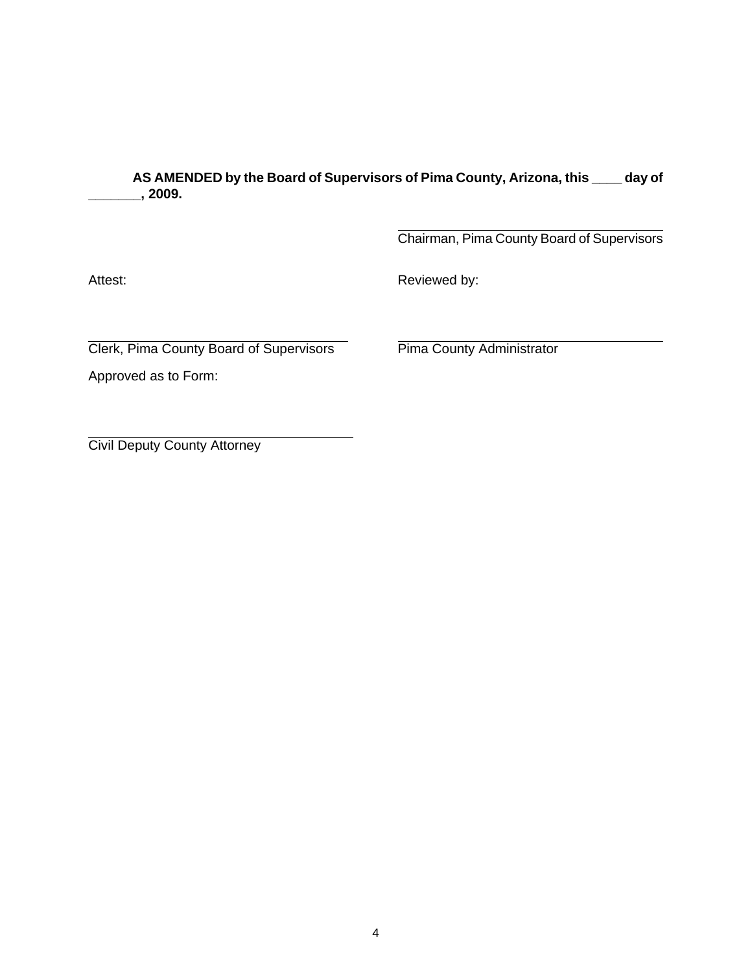**AS AMENDED by the Board of Supervisors of Pima County, Arizona, this \_\_\_\_ day of \_\_\_\_\_\_\_, 2009.** 

> $\overline{a}$ Chairman, Pima County Board of Supervisors

Attest: **Attest: Reviewed by:** 

 $\overline{a}$ Clerk, Pima County Board of Supervisors Pima County Administrator

Approved as to Form:

 $\overline{a}$ Civil Deputy County Attorney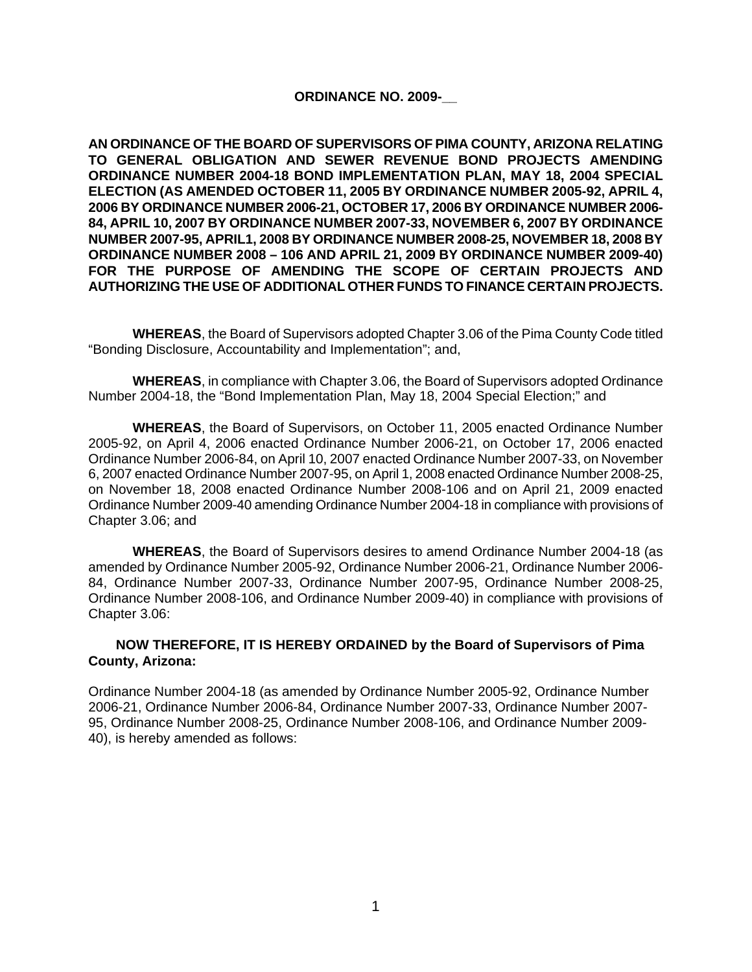#### **ORDINANCE NO. 2009-\_\_**

**AN ORDINANCE OF THE BOARD OF SUPERVISORS OF PIMA COUNTY, ARIZONA RELATING TO GENERAL OBLIGATION AND SEWER REVENUE BOND PROJECTS AMENDING ORDINANCE NUMBER 2004-18 BOND IMPLEMENTATION PLAN, MAY 18, 2004 SPECIAL ELECTION (AS AMENDED OCTOBER 11, 2005 BY ORDINANCE NUMBER 2005-92, APRIL 4, 2006 BY ORDINANCE NUMBER 2006-21, OCTOBER 17, 2006 BY ORDINANCE NUMBER 2006- 84, APRIL 10, 2007 BY ORDINANCE NUMBER 2007-33, NOVEMBER 6, 2007 BY ORDINANCE NUMBER 2007-95, APRIL1, 2008 BY ORDINANCE NUMBER 2008-25, NOVEMBER 18, 2008 BY ORDINANCE NUMBER 2008 – 106 AND APRIL 21, 2009 BY ORDINANCE NUMBER 2009-40) FOR THE PURPOSE OF AMENDING THE SCOPE OF CERTAIN PROJECTS AND AUTHORIZING THE USE OF ADDITIONAL OTHER FUNDS TO FINANCE CERTAIN PROJECTS.**

 **WHEREAS**, the Board of Supervisors adopted Chapter 3.06 of the Pima County Code titled "Bonding Disclosure, Accountability and Implementation"; and,

**WHEREAS**, in compliance with Chapter 3.06, the Board of Supervisors adopted Ordinance Number 2004-18, the "Bond Implementation Plan, May 18, 2004 Special Election;" and

**WHEREAS**, the Board of Supervisors, on October 11, 2005 enacted Ordinance Number 2005-92, on April 4, 2006 enacted Ordinance Number 2006-21, on October 17, 2006 enacted Ordinance Number 2006-84, on April 10, 2007 enacted Ordinance Number 2007-33, on November 6, 2007 enacted Ordinance Number 2007-95, on April 1, 2008 enacted Ordinance Number 2008-25, on November 18, 2008 enacted Ordinance Number 2008-106 and on April 21, 2009 enacted Ordinance Number 2009-40 amending Ordinance Number 2004-18 in compliance with provisions of Chapter 3.06; and

**WHEREAS**, the Board of Supervisors desires to amend Ordinance Number 2004-18 (as amended by Ordinance Number 2005-92, Ordinance Number 2006-21, Ordinance Number 2006- 84, Ordinance Number 2007-33, Ordinance Number 2007-95, Ordinance Number 2008-25, Ordinance Number 2008-106, and Ordinance Number 2009-40) in compliance with provisions of Chapter 3.06:

#### **NOW THEREFORE, IT IS HEREBY ORDAINED by the Board of Supervisors of Pima County, Arizona:**

Ordinance Number 2004-18 (as amended by Ordinance Number 2005-92, Ordinance Number 2006-21, Ordinance Number 2006-84, Ordinance Number 2007-33, Ordinance Number 2007- 95, Ordinance Number 2008-25, Ordinance Number 2008-106, and Ordinance Number 2009- 40), is hereby amended as follows: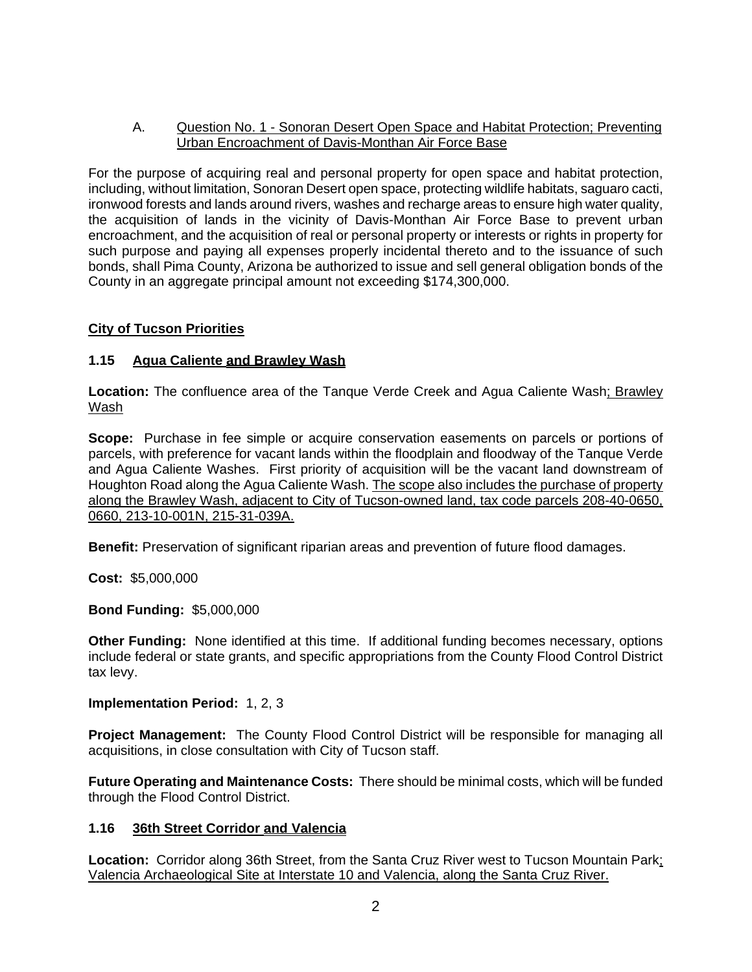# A. Question No. 1 - Sonoran Desert Open Space and Habitat Protection; Preventing Urban Encroachment of Davis-Monthan Air Force Base

For the purpose of acquiring real and personal property for open space and habitat protection, including, without limitation, Sonoran Desert open space, protecting wildlife habitats, saguaro cacti, ironwood forests and lands around rivers, washes and recharge areas to ensure high water quality, the acquisition of lands in the vicinity of Davis-Monthan Air Force Base to prevent urban encroachment, and the acquisition of real or personal property or interests or rights in property for such purpose and paying all expenses properly incidental thereto and to the issuance of such bonds, shall Pima County, Arizona be authorized to issue and sell general obligation bonds of the County in an aggregate principal amount not exceeding \$174,300,000.

# **City of Tucson Priorities**

# **1.15 Agua Caliente and Brawley Wash**

**Location:** The confluence area of the Tanque Verde Creek and Agua Caliente Wash; Brawley Wash

**Scope:** Purchase in fee simple or acquire conservation easements on parcels or portions of parcels, with preference for vacant lands within the floodplain and floodway of the Tanque Verde and Agua Caliente Washes. First priority of acquisition will be the vacant land downstream of Houghton Road along the Agua Caliente Wash. The scope also includes the purchase of property along the Brawley Wash, adjacent to City of Tucson-owned land, tax code parcels 208-40-0650, 0660, 213-10-001N, 215-31-039A.

**Benefit:** Preservation of significant riparian areas and prevention of future flood damages.

**Cost:** \$5,000,000

**Bond Funding:** \$5,000,000

**Other Funding:** None identified at this time. If additional funding becomes necessary, options include federal or state grants, and specific appropriations from the County Flood Control District tax levy.

**Implementation Period:** 1, 2, 3

**Project Management:** The County Flood Control District will be responsible for managing all acquisitions, in close consultation with City of Tucson staff.

**Future Operating and Maintenance Costs:** There should be minimal costs, which will be funded through the Flood Control District.

# **1.16 36th Street Corridor and Valencia**

**Location:** Corridor along 36th Street, from the Santa Cruz River west to Tucson Mountain Park; Valencia Archaeological Site at Interstate 10 and Valencia, along the Santa Cruz River.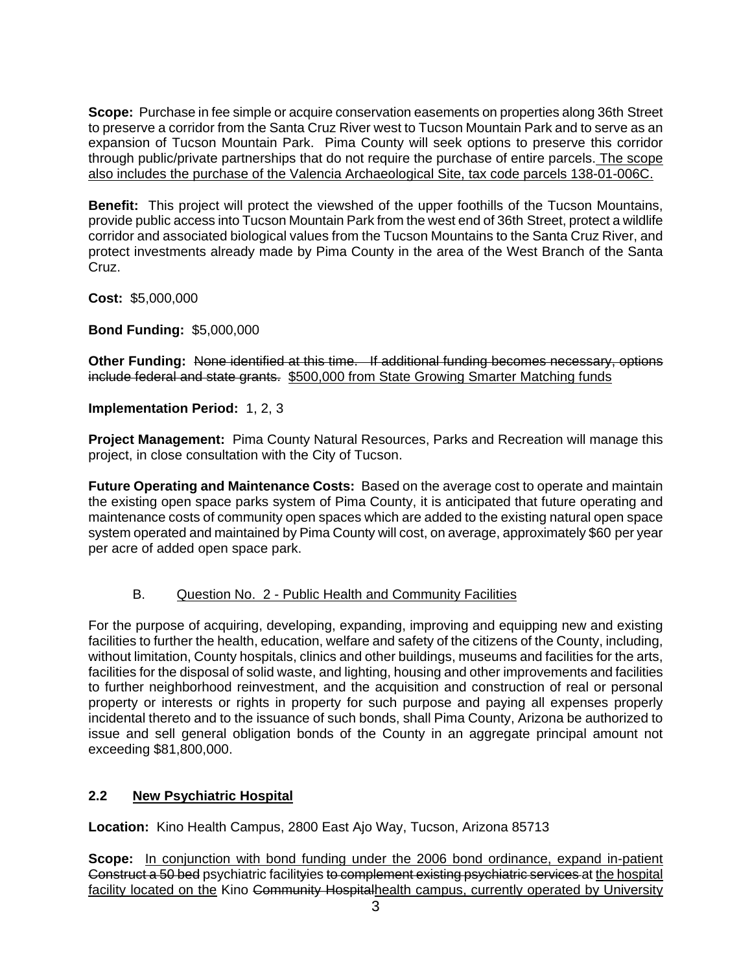**Scope:** Purchase in fee simple or acquire conservation easements on properties along 36th Street to preserve a corridor from the Santa Cruz River west to Tucson Mountain Park and to serve as an expansion of Tucson Mountain Park. Pima County will seek options to preserve this corridor through public/private partnerships that do not require the purchase of entire parcels. The scope also includes the purchase of the Valencia Archaeological Site, tax code parcels 138-01-006C.

**Benefit:** This project will protect the viewshed of the upper foothills of the Tucson Mountains, provide public access into Tucson Mountain Park from the west end of 36th Street, protect a wildlife corridor and associated biological values from the Tucson Mountains to the Santa Cruz River, and protect investments already made by Pima County in the area of the West Branch of the Santa Cruz.

**Cost:** \$5,000,000

**Bond Funding:** \$5,000,000

**Other Funding:** None identified at this time. If additional funding becomes necessary, options include federal and state grants. \$500,000 from State Growing Smarter Matching funds

**Implementation Period:** 1, 2, 3

**Project Management:** Pima County Natural Resources, Parks and Recreation will manage this project, in close consultation with the City of Tucson.

**Future Operating and Maintenance Costs:** Based on the average cost to operate and maintain the existing open space parks system of Pima County, it is anticipated that future operating and maintenance costs of community open spaces which are added to the existing natural open space system operated and maintained by Pima County will cost, on average, approximately \$60 per year per acre of added open space park.

# B. Question No. 2 - Public Health and Community Facilities

For the purpose of acquiring, developing, expanding, improving and equipping new and existing facilities to further the health, education, welfare and safety of the citizens of the County, including, without limitation, County hospitals, clinics and other buildings, museums and facilities for the arts, facilities for the disposal of solid waste, and lighting, housing and other improvements and facilities to further neighborhood reinvestment, and the acquisition and construction of real or personal property or interests or rights in property for such purpose and paying all expenses properly incidental thereto and to the issuance of such bonds, shall Pima County, Arizona be authorized to issue and sell general obligation bonds of the County in an aggregate principal amount not exceeding \$81,800,000.

# **2.2 New Psychiatric Hospital**

**Location:** Kino Health Campus, 2800 East Ajo Way, Tucson, Arizona 85713

**Scope:** In conjunction with bond funding under the 2006 bond ordinance, expand in-patient Construct a 50 bed psychiatric facilityies to complement existing psychiatric services at the hospital facility located on the Kino Community Hospitalhealth campus, currently operated by University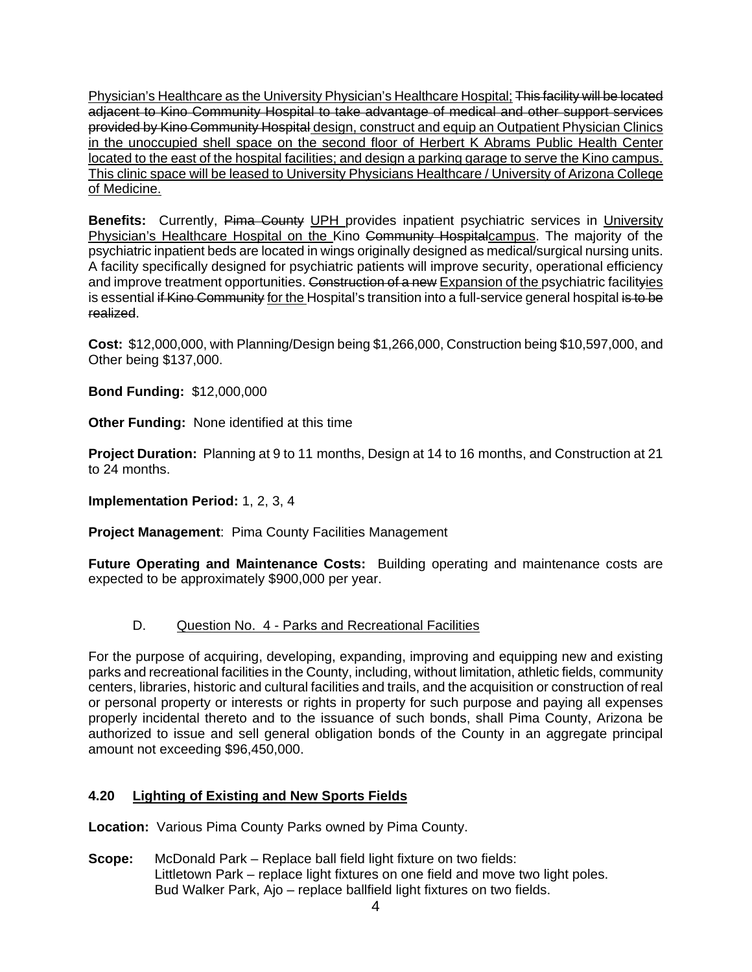Physician's Healthcare as the University Physician's Healthcare Hospital; This facility will be located adjacent to Kino Community Hospital to take advantage of medical and other support services provided by Kino Community Hospital design, construct and equip an Outpatient Physician Clinics in the unoccupied shell space on the second floor of Herbert K Abrams Public Health Center located to the east of the hospital facilities; and design a parking garage to serve the Kino campus. This clinic space will be leased to University Physicians Healthcare / University of Arizona College of Medicine.

**Benefits:** Currently, Pima County UPH provides inpatient psychiatric services in University Physician's Healthcare Hospital on the Kino Community Hospitalcampus. The majority of the psychiatric inpatient beds are located in wings originally designed as medical/surgical nursing units. A facility specifically designed for psychiatric patients will improve security, operational efficiency and improve treatment opportunities. Construction of a new Expansion of the psychiatric facilityies is essential if Kino Community for the Hospital's transition into a full-service general hospital is to be realized.

**Cost:** \$12,000,000, with Planning/Design being \$1,266,000, Construction being \$10,597,000, and Other being \$137,000.

**Bond Funding:** \$12,000,000

**Other Funding:** None identified at this time

**Project Duration:** Planning at 9 to 11 months, Design at 14 to 16 months, and Construction at 21 to 24 months.

**Implementation Period:** 1, 2, 3, 4

**Project Management**: Pima County Facilities Management

**Future Operating and Maintenance Costs:** Building operating and maintenance costs are expected to be approximately \$900,000 per year.

# D. Question No. 4 - Parks and Recreational Facilities

For the purpose of acquiring, developing, expanding, improving and equipping new and existing parks and recreational facilities in the County, including, without limitation, athletic fields, community centers, libraries, historic and cultural facilities and trails, and the acquisition or construction of real or personal property or interests or rights in property for such purpose and paying all expenses properly incidental thereto and to the issuance of such bonds, shall Pima County, Arizona be authorized to issue and sell general obligation bonds of the County in an aggregate principal amount not exceeding \$96,450,000.

# **4.20 Lighting of Existing and New Sports Fields**

**Location:** Various Pima County Parks owned by Pima County.

**Scope:** McDonald Park – Replace ball field light fixture on two fields: Littletown Park – replace light fixtures on one field and move two light poles. Bud Walker Park, Ajo – replace ballfield light fixtures on two fields.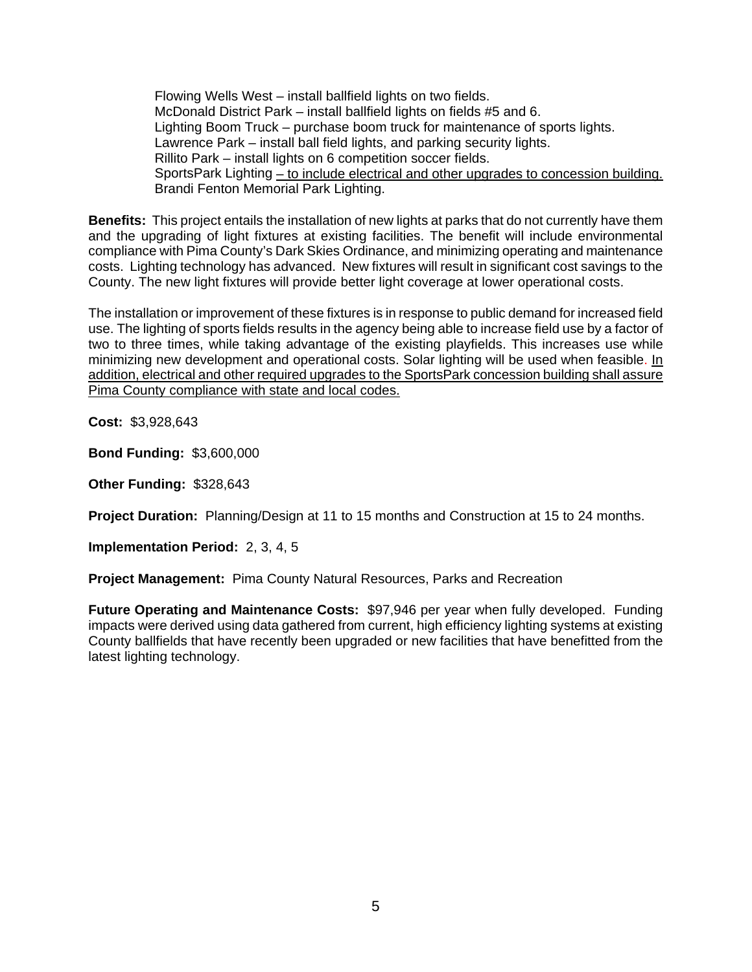Flowing Wells West – install ballfield lights on two fields. McDonald District Park – install ballfield lights on fields #5 and 6. Lighting Boom Truck – purchase boom truck for maintenance of sports lights. Lawrence Park – install ball field lights, and parking security lights. Rillito Park – install lights on 6 competition soccer fields. SportsPark Lighting – to include electrical and other upgrades to concession building. Brandi Fenton Memorial Park Lighting.

**Benefits:** This project entails the installation of new lights at parks that do not currently have them and the upgrading of light fixtures at existing facilities. The benefit will include environmental compliance with Pima County's Dark Skies Ordinance, and minimizing operating and maintenance costs. Lighting technology has advanced. New fixtures will result in significant cost savings to the County. The new light fixtures will provide better light coverage at lower operational costs.

The installation or improvement of these fixtures is in response to public demand for increased field use. The lighting of sports fields results in the agency being able to increase field use by a factor of two to three times, while taking advantage of the existing playfields. This increases use while minimizing new development and operational costs. Solar lighting will be used when feasible. In addition, electrical and other required upgrades to the SportsPark concession building shall assure Pima County compliance with state and local codes.

**Cost:** \$3,928,643

**Bond Funding:** \$3,600,000

**Other Funding:** \$328,643

**Project Duration:** Planning/Design at 11 to 15 months and Construction at 15 to 24 months.

**Implementation Period:** 2, 3, 4, 5

**Project Management:** Pima County Natural Resources, Parks and Recreation

**Future Operating and Maintenance Costs:** \$97,946 per year when fully developed. Funding impacts were derived using data gathered from current, high efficiency lighting systems at existing County ballfields that have recently been upgraded or new facilities that have benefitted from the latest lighting technology.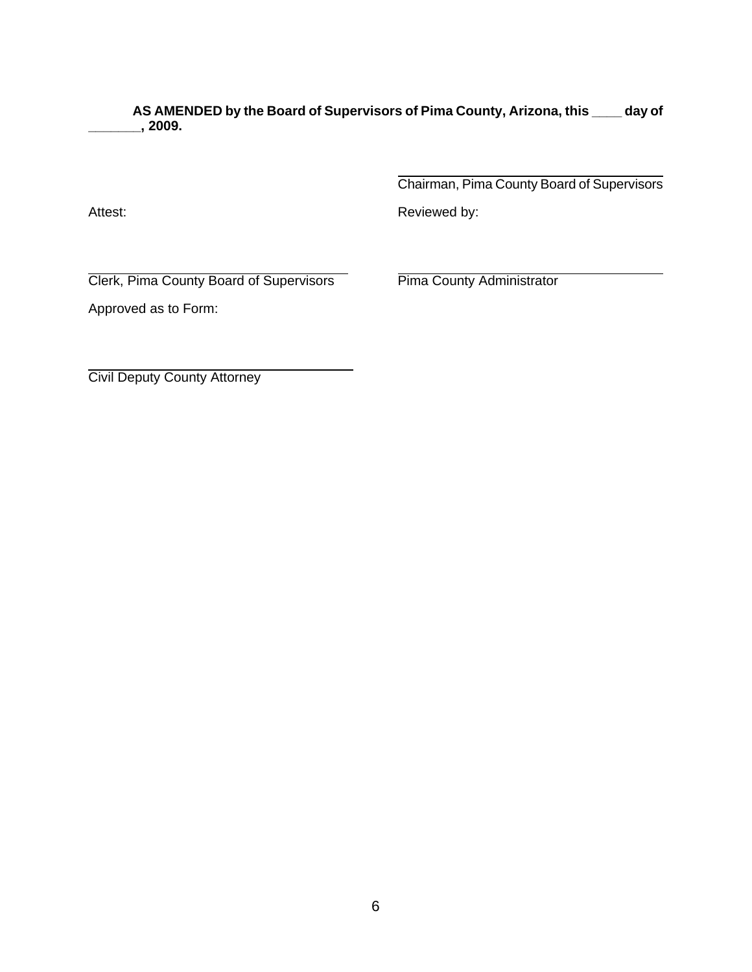**AS AMENDED by the Board of Supervisors of Pima County, Arizona, this \_\_\_\_ day of \_\_\_\_\_\_\_, 2009.** 

> $\overline{a}$ Chairman, Pima County Board of Supervisors

Attest: **Attest: Reviewed by: Reviewed by:** 

 $\overline{a}$ Clerk, Pima County Board of Supervisors Pima County Administrator

Approved as to Form:

 $\overline{a}$ Civil Deputy County Attorney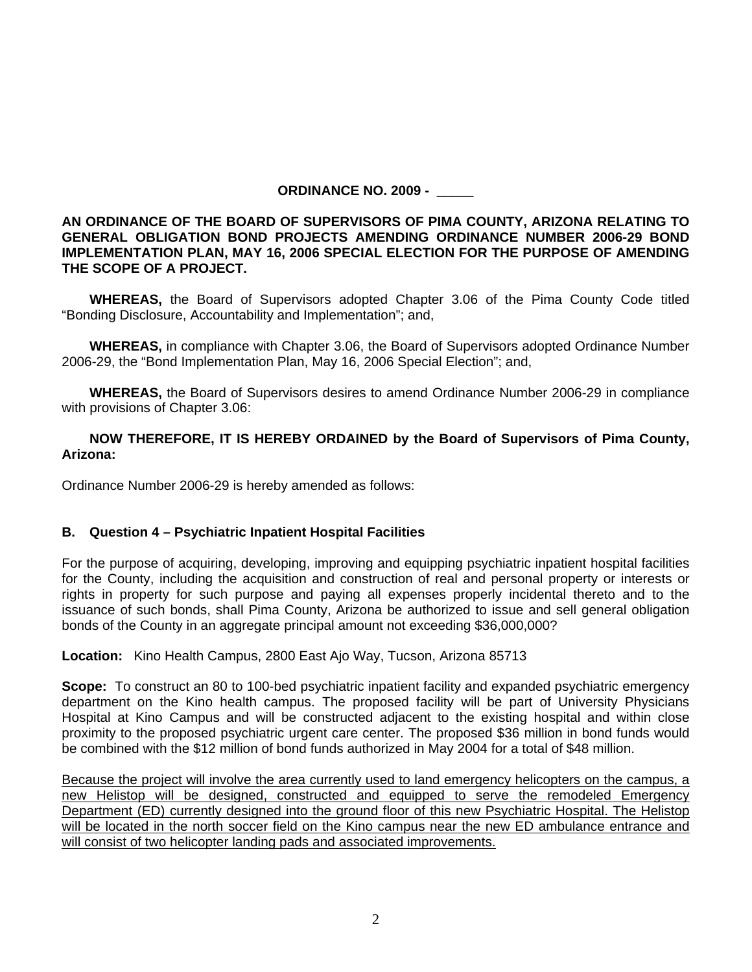# **ORDINANCE NO. 2009 -** \_\_\_\_\_

**AN ORDINANCE OF THE BOARD OF SUPERVISORS OF PIMA COUNTY, ARIZONA RELATING TO GENERAL OBLIGATION BOND PROJECTS AMENDING ORDINANCE NUMBER 2006-29 BOND IMPLEMENTATION PLAN, MAY 16, 2006 SPECIAL ELECTION FOR THE PURPOSE OF AMENDING THE SCOPE OF A PROJECT.** 

 **WHEREAS,** the Board of Supervisors adopted Chapter 3.06 of the Pima County Code titled "Bonding Disclosure, Accountability and Implementation"; and,

 **WHEREAS,** in compliance with Chapter 3.06, the Board of Supervisors adopted Ordinance Number 2006-29, the "Bond Implementation Plan, May 16, 2006 Special Election"; and,

 **WHEREAS,** the Board of Supervisors desires to amend Ordinance Number 2006-29 in compliance with provisions of Chapter 3.06:

## **NOW THEREFORE, IT IS HEREBY ORDAINED by the Board of Supervisors of Pima County, Arizona:**

Ordinance Number 2006-29 is hereby amended as follows:

# **B. Question 4 – Psychiatric Inpatient Hospital Facilities**

For the purpose of acquiring, developing, improving and equipping psychiatric inpatient hospital facilities for the County, including the acquisition and construction of real and personal property or interests or rights in property for such purpose and paying all expenses properly incidental thereto and to the issuance of such bonds, shall Pima County, Arizona be authorized to issue and sell general obligation bonds of the County in an aggregate principal amount not exceeding \$36,000,000?

**Location:** Kino Health Campus, 2800 East Ajo Way, Tucson, Arizona 85713

**Scope:** To construct an 80 to 100-bed psychiatric inpatient facility and expanded psychiatric emergency department on the Kino health campus. The proposed facility will be part of University Physicians Hospital at Kino Campus and will be constructed adjacent to the existing hospital and within close proximity to the proposed psychiatric urgent care center. The proposed \$36 million in bond funds would be combined with the \$12 million of bond funds authorized in May 2004 for a total of \$48 million.

Because the project will involve the area currently used to land emergency helicopters on the campus, a new Helistop will be designed, constructed and equipped to serve the remodeled Emergency Department (ED) currently designed into the ground floor of this new Psychiatric Hospital. The Helistop will be located in the north soccer field on the Kino campus near the new ED ambulance entrance and will consist of two helicopter landing pads and associated improvements.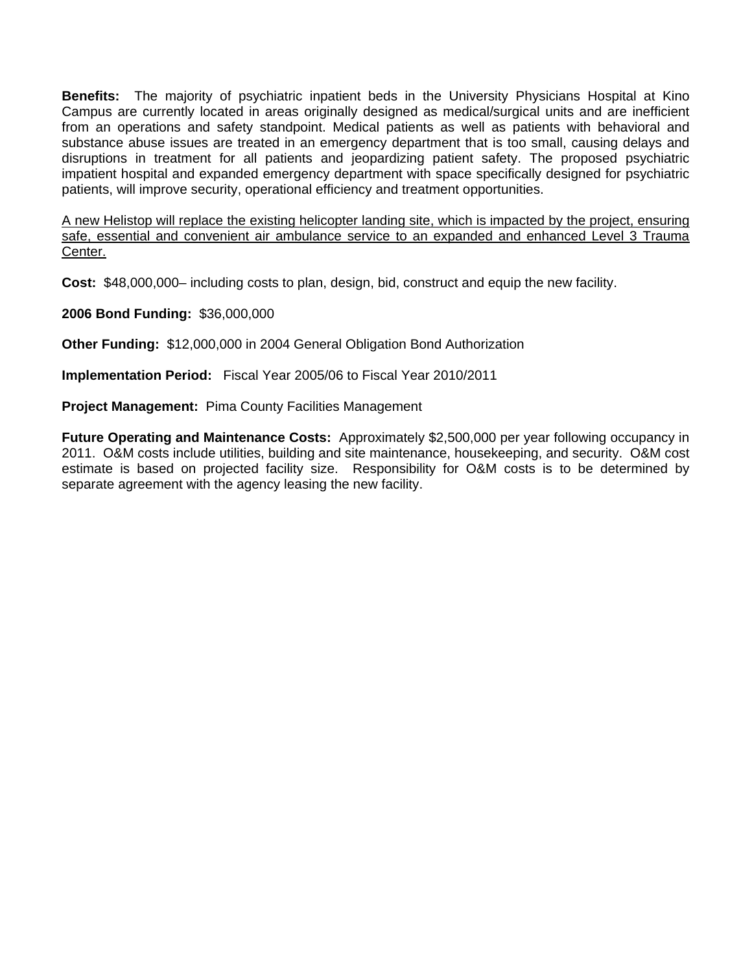**Benefits:** The majority of psychiatric inpatient beds in the University Physicians Hospital at Kino Campus are currently located in areas originally designed as medical/surgical units and are inefficient from an operations and safety standpoint. Medical patients as well as patients with behavioral and substance abuse issues are treated in an emergency department that is too small, causing delays and disruptions in treatment for all patients and jeopardizing patient safety. The proposed psychiatric impatient hospital and expanded emergency department with space specifically designed for psychiatric patients, will improve security, operational efficiency and treatment opportunities.

A new Helistop will replace the existing helicopter landing site, which is impacted by the project, ensuring safe, essential and convenient air ambulance service to an expanded and enhanced Level 3 Trauma Center.

**Cost:** \$48,000,000– including costs to plan, design, bid, construct and equip the new facility.

**2006 Bond Funding:** \$36,000,000

**Other Funding:** \$12,000,000 in 2004 General Obligation Bond Authorization

**Implementation Period:** Fiscal Year 2005/06 to Fiscal Year 2010/2011

**Project Management:** Pima County Facilities Management

**Future Operating and Maintenance Costs:** Approximately \$2,500,000 per year following occupancy in 2011. O&M costs include utilities, building and site maintenance, housekeeping, and security. O&M cost estimate is based on projected facility size. Responsibility for O&M costs is to be determined by separate agreement with the agency leasing the new facility.